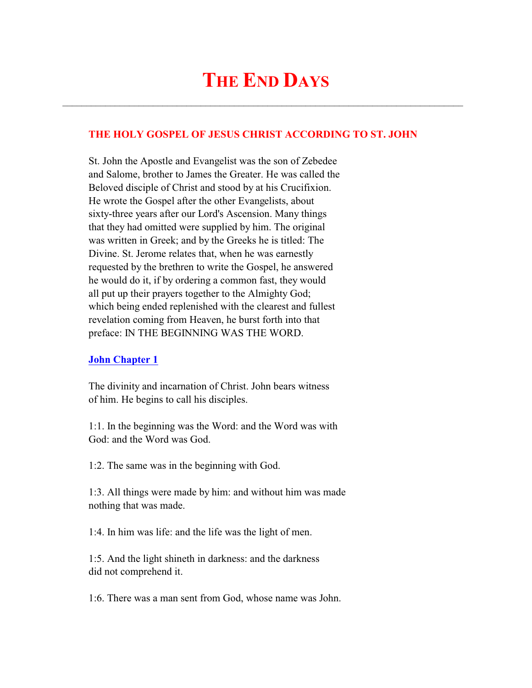# **THE END DAYS**

 $\mathcal{L}_\text{max}$  and  $\mathcal{L}_\text{max}$  and  $\mathcal{L}_\text{max}$  and  $\mathcal{L}_\text{max}$  and  $\mathcal{L}_\text{max}$  and  $\mathcal{L}_\text{max}$ 

## **THE HOLY GOSPEL OF JESUS CHRIST ACCORDING TO ST. JOHN**

 St. John the Apostle and Evangelist was the son of Zebedee and Salome, brother to James the Greater. He was called the Beloved disciple of Christ and stood by at his Crucifixion. He wrote the Gospel after the other Evangelists, about sixty-three years after our Lord's Ascension. Many things that they had omitted were supplied by him. The original was written in Greek; and by the Greeks he is titled: The Divine. St. Jerome relates that, when he was earnestly requested by the brethren to write the Gospel, he answered he would do it, if by ordering a common fast, they would all put up their prayers together to the Almighty God; which being ended replenished with the clearest and fullest revelation coming from Heaven, he burst forth into that preface: IN THE BEGINNING WAS THE WORD.

#### **John Chapter 1**

 The divinity and incarnation of Christ. John bears witness of him. He begins to call his disciples.

 1:1. In the beginning was the Word: and the Word was with God: and the Word was God.

1:2. The same was in the beginning with God.

 1:3. All things were made by him: and without him was made nothing that was made.

1:4. In him was life: and the life was the light of men.

 1:5. And the light shineth in darkness: and the darkness did not comprehend it.

1:6. There was a man sent from God, whose name was John.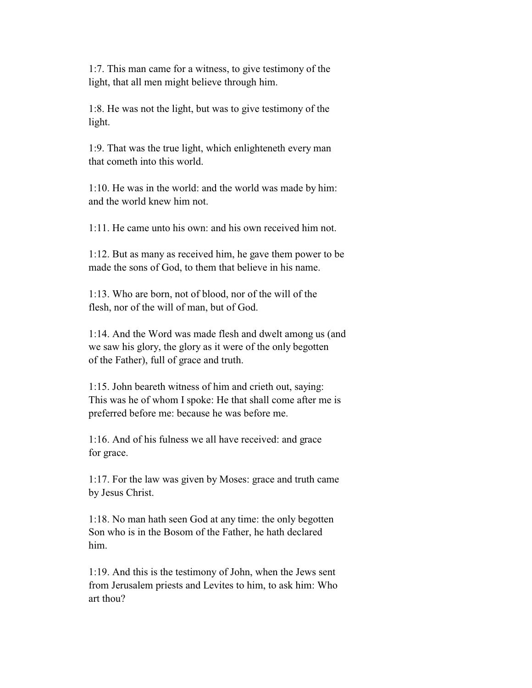1:7. This man came for a witness, to give testimony of the light, that all men might believe through him.

 1:8. He was not the light, but was to give testimony of the light.

 1:9. That was the true light, which enlighteneth every man that cometh into this world.

 1:10. He was in the world: and the world was made by him: and the world knew him not.

1:11. He came unto his own: and his own received him not.

 1:12. But as many as received him, he gave them power to be made the sons of God, to them that believe in his name.

 1:13. Who are born, not of blood, nor of the will of the flesh, nor of the will of man, but of God.

 1:14. And the Word was made flesh and dwelt among us (and we saw his glory, the glory as it were of the only begotten of the Father), full of grace and truth.

 1:15. John beareth witness of him and crieth out, saying: This was he of whom I spoke: He that shall come after me is preferred before me: because he was before me.

 1:16. And of his fulness we all have received: and grace for grace.

 1:17. For the law was given by Moses: grace and truth came by Jesus Christ.

 1:18. No man hath seen God at any time: the only begotten Son who is in the Bosom of the Father, he hath declared him.

 1:19. And this is the testimony of John, when the Jews sent from Jerusalem priests and Levites to him, to ask him: Who art thou?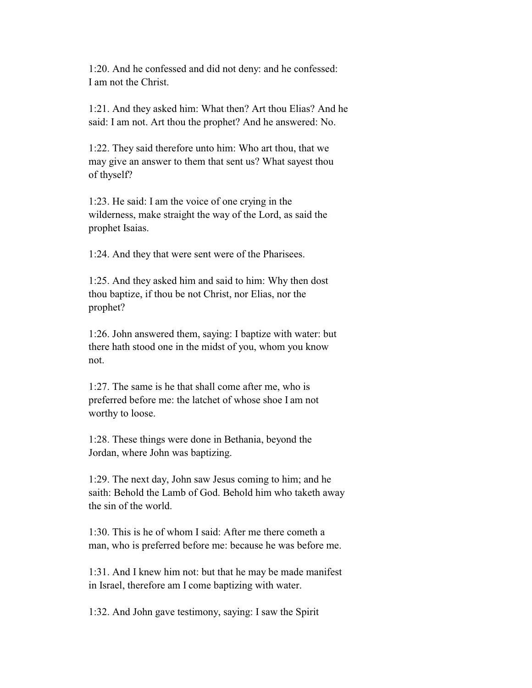1:20. And he confessed and did not deny: and he confessed: I am not the Christ.

 1:21. And they asked him: What then? Art thou Elias? And he said: I am not. Art thou the prophet? And he answered: No.

 1:22. They said therefore unto him: Who art thou, that we may give an answer to them that sent us? What sayest thou of thyself?

 1:23. He said: I am the voice of one crying in the wilderness, make straight the way of the Lord, as said the prophet Isaias.

1:24. And they that were sent were of the Pharisees.

 1:25. And they asked him and said to him: Why then dost thou baptize, if thou be not Christ, nor Elias, nor the prophet?

 1:26. John answered them, saying: I baptize with water: but there hath stood one in the midst of you, whom you know not.

 1:27. The same is he that shall come after me, who is preferred before me: the latchet of whose shoe I am not worthy to loose.

 1:28. These things were done in Bethania, beyond the Jordan, where John was baptizing.

 1:29. The next day, John saw Jesus coming to him; and he saith: Behold the Lamb of God. Behold him who taketh away the sin of the world.

 1:30. This is he of whom I said: After me there cometh a man, who is preferred before me: because he was before me.

 1:31. And I knew him not: but that he may be made manifest in Israel, therefore am I come baptizing with water.

1:32. And John gave testimony, saying: I saw the Spirit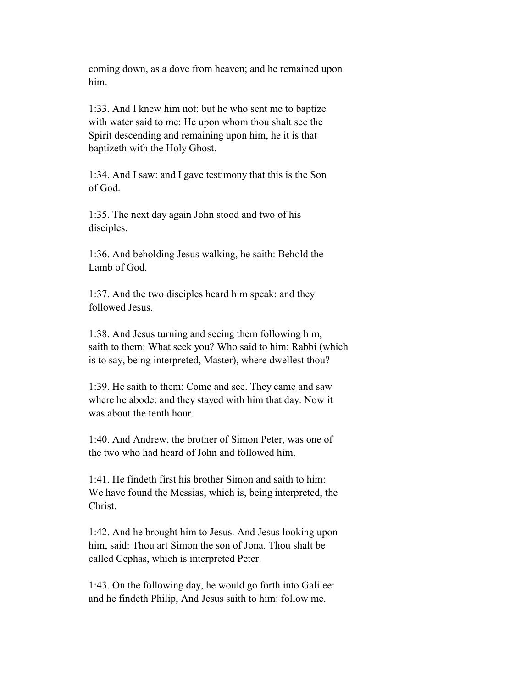coming down, as a dove from heaven; and he remained upon him.

 1:33. And I knew him not: but he who sent me to baptize with water said to me: He upon whom thou shalt see the Spirit descending and remaining upon him, he it is that baptizeth with the Holy Ghost.

 1:34. And I saw: and I gave testimony that this is the Son of God.

 1:35. The next day again John stood and two of his disciples.

 1:36. And beholding Jesus walking, he saith: Behold the Lamb of God.

 1:37. And the two disciples heard him speak: and they followed Jesus.

 1:38. And Jesus turning and seeing them following him, saith to them: What seek you? Who said to him: Rabbi (which is to say, being interpreted, Master), where dwellest thou?

 1:39. He saith to them: Come and see. They came and saw where he abode: and they stayed with him that day. Now it was about the tenth hour.

 1:40. And Andrew, the brother of Simon Peter, was one of the two who had heard of John and followed him.

 1:41. He findeth first his brother Simon and saith to him: We have found the Messias, which is, being interpreted, the Christ.

 1:42. And he brought him to Jesus. And Jesus looking upon him, said: Thou art Simon the son of Jona. Thou shalt be called Cephas, which is interpreted Peter.

 1:43. On the following day, he would go forth into Galilee: and he findeth Philip, And Jesus saith to him: follow me.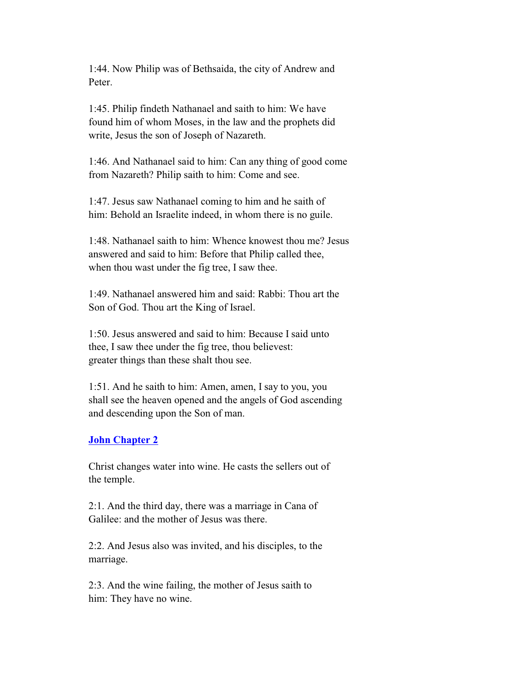1:44. Now Philip was of Bethsaida, the city of Andrew and Peter.

 1:45. Philip findeth Nathanael and saith to him: We have found him of whom Moses, in the law and the prophets did write, Jesus the son of Joseph of Nazareth.

 1:46. And Nathanael said to him: Can any thing of good come from Nazareth? Philip saith to him: Come and see.

 1:47. Jesus saw Nathanael coming to him and he saith of him: Behold an Israelite indeed, in whom there is no guile.

 1:48. Nathanael saith to him: Whence knowest thou me? Jesus answered and said to him: Before that Philip called thee, when thou wast under the fig tree, I saw thee.

 1:49. Nathanael answered him and said: Rabbi: Thou art the Son of God. Thou art the King of Israel.

 1:50. Jesus answered and said to him: Because I said unto thee, I saw thee under the fig tree, thou believest: greater things than these shalt thou see.

 1:51. And he saith to him: Amen, amen, I say to you, you shall see the heaven opened and the angels of God ascending and descending upon the Son of man.

## **John Chapter 2**

 Christ changes water into wine. He casts the sellers out of the temple.

 2:1. And the third day, there was a marriage in Cana of Galilee: and the mother of Jesus was there.

 2:2. And Jesus also was invited, and his disciples, to the marriage.

 2:3. And the wine failing, the mother of Jesus saith to him: They have no wine.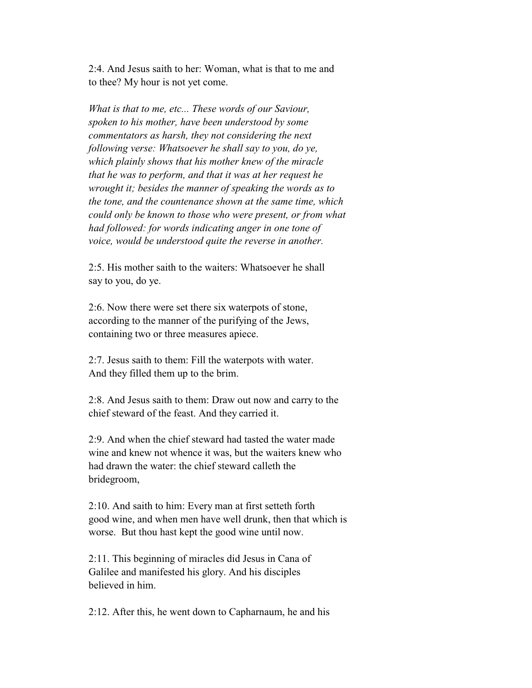2:4. And Jesus saith to her: Woman, what is that to me and to thee? My hour is not yet come.

 *What is that to me, etc... These words of our Saviour, spoken to his mother, have been understood by some commentators as harsh, they not considering the next following verse: Whatsoever he shall say to you, do ye, which plainly shows that his mother knew of the miracle that he was to perform, and that it was at her request he wrought it; besides the manner of speaking the words as to the tone, and the countenance shown at the same time, which could only be known to those who were present, or from what had followed: for words indicating anger in one tone of voice, would be understood quite the reverse in another.*

 2:5. His mother saith to the waiters: Whatsoever he shall say to you, do ye.

 2:6. Now there were set there six waterpots of stone, according to the manner of the purifying of the Jews, containing two or three measures apiece.

 2:7. Jesus saith to them: Fill the waterpots with water. And they filled them up to the brim.

 2:8. And Jesus saith to them: Draw out now and carry to the chief steward of the feast. And they carried it.

 2:9. And when the chief steward had tasted the water made wine and knew not whence it was, but the waiters knew who had drawn the water: the chief steward calleth the bridegroom,

 2:10. And saith to him: Every man at first setteth forth good wine, and when men have well drunk, then that which is worse. But thou hast kept the good wine until now.

 2:11. This beginning of miracles did Jesus in Cana of Galilee and manifested his glory. And his disciples believed in him.

2:12. After this, he went down to Capharnaum, he and his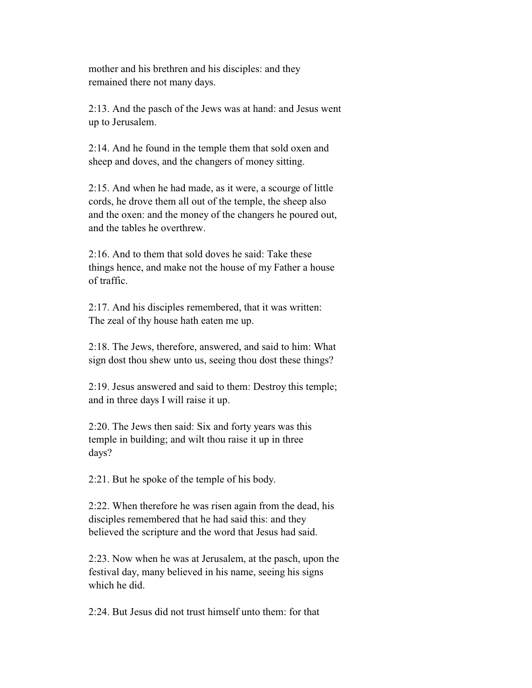mother and his brethren and his disciples: and they remained there not many days.

 2:13. And the pasch of the Jews was at hand: and Jesus went up to Jerusalem.

 2:14. And he found in the temple them that sold oxen and sheep and doves, and the changers of money sitting.

 2:15. And when he had made, as it were, a scourge of little cords, he drove them all out of the temple, the sheep also and the oxen: and the money of the changers he poured out, and the tables he overthrew.

 2:16. And to them that sold doves he said: Take these things hence, and make not the house of my Father a house of traffic.

 2:17. And his disciples remembered, that it was written: The zeal of thy house hath eaten me up.

 2:18. The Jews, therefore, answered, and said to him: What sign dost thou shew unto us, seeing thou dost these things?

 2:19. Jesus answered and said to them: Destroy this temple; and in three days I will raise it up.

 2:20. The Jews then said: Six and forty years was this temple in building; and wilt thou raise it up in three days?

2:21. But he spoke of the temple of his body.

 2:22. When therefore he was risen again from the dead, his disciples remembered that he had said this: and they believed the scripture and the word that Jesus had said.

 2:23. Now when he was at Jerusalem, at the pasch, upon the festival day, many believed in his name, seeing his signs which he did.

2:24. But Jesus did not trust himself unto them: for that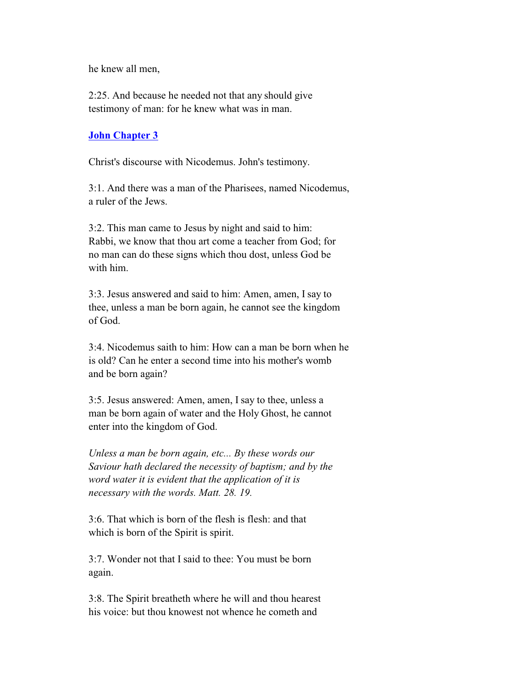he knew all men,

 2:25. And because he needed not that any should give testimony of man: for he knew what was in man.

### **John Chapter 3**

Christ's discourse with Nicodemus. John's testimony.

 3:1. And there was a man of the Pharisees, named Nicodemus, a ruler of the Jews.

 3:2. This man came to Jesus by night and said to him: Rabbi, we know that thou art come a teacher from God; for no man can do these signs which thou dost, unless God be with him.

 3:3. Jesus answered and said to him: Amen, amen, I say to thee, unless a man be born again, he cannot see the kingdom of God.

 3:4. Nicodemus saith to him: How can a man be born when he is old? Can he enter a second time into his mother's womb and be born again?

 3:5. Jesus answered: Amen, amen, I say to thee, unless a man be born again of water and the Holy Ghost, he cannot enter into the kingdom of God.

 *Unless a man be born again, etc... By these words our Saviour hath declared the necessity of baptism; and by the word water it is evident that the application of it is necessary with the words. Matt. 28. 19.*

 3:6. That which is born of the flesh is flesh: and that which is born of the Spirit is spirit.

 3:7. Wonder not that I said to thee: You must be born again.

 3:8. The Spirit breatheth where he will and thou hearest his voice: but thou knowest not whence he cometh and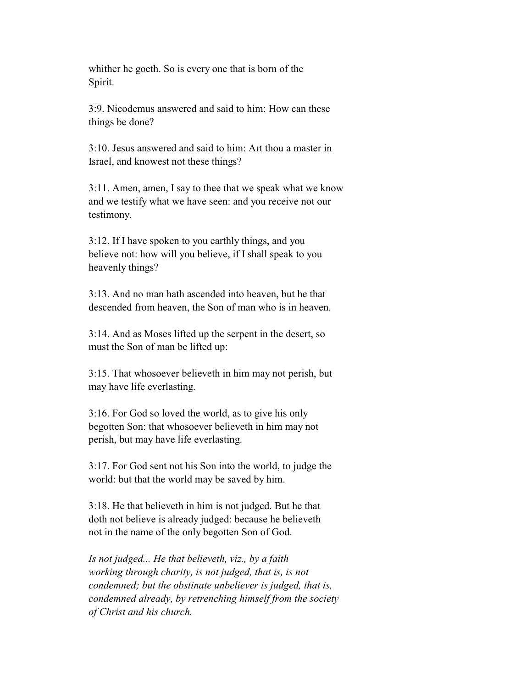whither he goeth. So is every one that is born of the Spirit.

 3:9. Nicodemus answered and said to him: How can these things be done?

 3:10. Jesus answered and said to him: Art thou a master in Israel, and knowest not these things?

 3:11. Amen, amen, I say to thee that we speak what we know and we testify what we have seen: and you receive not our testimony.

 3:12. If I have spoken to you earthly things, and you believe not: how will you believe, if I shall speak to you heavenly things?

 3:13. And no man hath ascended into heaven, but he that descended from heaven, the Son of man who is in heaven.

 3:14. And as Moses lifted up the serpent in the desert, so must the Son of man be lifted up:

 3:15. That whosoever believeth in him may not perish, but may have life everlasting.

 3:16. For God so loved the world, as to give his only begotten Son: that whosoever believeth in him may not perish, but may have life everlasting.

 3:17. For God sent not his Son into the world, to judge the world: but that the world may be saved by him.

 3:18. He that believeth in him is not judged. But he that doth not believe is already judged: because he believeth not in the name of the only begotten Son of God.

 *Is not judged... He that believeth, viz., by a faith working through charity, is not judged, that is, is not condemned; but the obstinate unbeliever is judged, that is, condemned already, by retrenching himself from the society of Christ and his church.*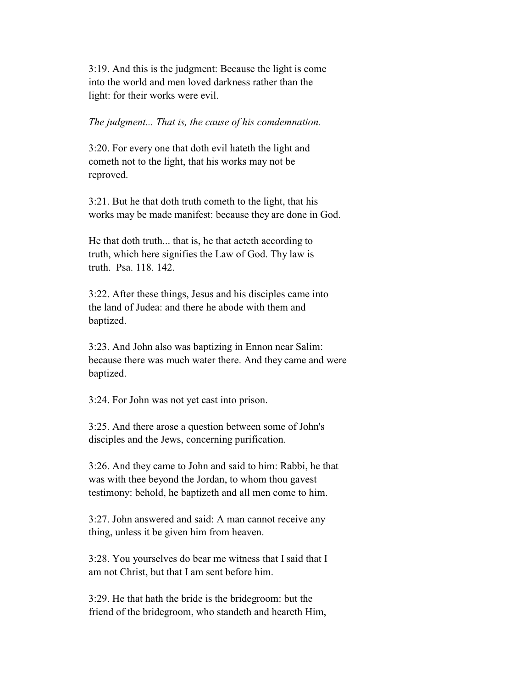3:19. And this is the judgment: Because the light is come into the world and men loved darkness rather than the light: for their works were evil.

#### *The judgment... That is, the cause of his comdemnation.*

 3:20. For every one that doth evil hateth the light and cometh not to the light, that his works may not be reproved.

 3:21. But he that doth truth cometh to the light, that his works may be made manifest: because they are done in God.

 He that doth truth... that is, he that acteth according to truth, which here signifies the Law of God. Thy law is truth. Psa. 118. 142.

 3:22. After these things, Jesus and his disciples came into the land of Judea: and there he abode with them and baptized.

 3:23. And John also was baptizing in Ennon near Salim: because there was much water there. And they came and were baptized.

3:24. For John was not yet cast into prison.

 3:25. And there arose a question between some of John's disciples and the Jews, concerning purification.

 3:26. And they came to John and said to him: Rabbi, he that was with thee beyond the Jordan, to whom thou gavest testimony: behold, he baptizeth and all men come to him.

 3:27. John answered and said: A man cannot receive any thing, unless it be given him from heaven.

 3:28. You yourselves do bear me witness that I said that I am not Christ, but that I am sent before him.

 3:29. He that hath the bride is the bridegroom: but the friend of the bridegroom, who standeth and heareth Him,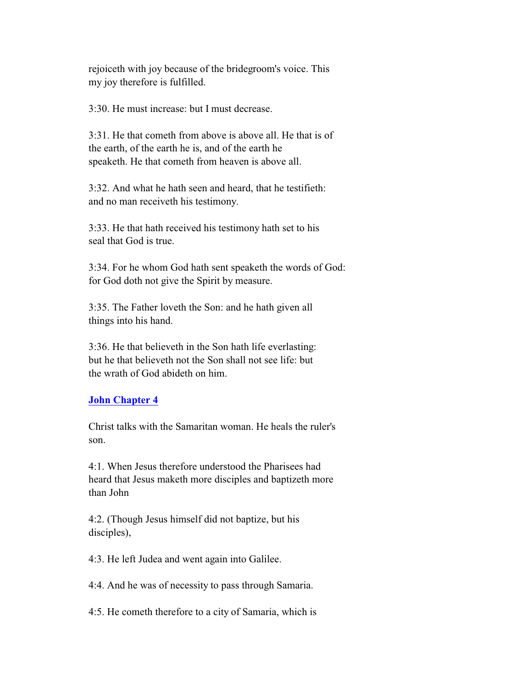rejoiceth with joy because of the bridegroom's voice. This my joy therefore is fulfilled.

3:30. He must increase: but I must decrease.

 3:31. He that cometh from above is above all. He that is of the earth, of the earth he is, and of the earth he speaketh. He that cometh from heaven is above all.

 3:32. And what he hath seen and heard, that he testifieth: and no man receiveth his testimony.

 3:33. He that hath received his testimony hath set to his seal that God is true.

 3:34. For he whom God hath sent speaketh the words of God: for God doth not give the Spirit by measure.

 3:35. The Father loveth the Son: and he hath given all things into his hand.

 3:36. He that believeth in the Son hath life everlasting: but he that believeth not the Son shall not see life: but the wrath of God abideth on him.

#### **John Chapter 4**

 Christ talks with the Samaritan woman. He heals the ruler's son.

 4:1. When Jesus therefore understood the Pharisees had heard that Jesus maketh more disciples and baptizeth more than John

 4:2. (Though Jesus himself did not baptize, but his disciples),

4:3. He left Judea and went again into Galilee.

4:4. And he was of necessity to pass through Samaria.

4:5. He cometh therefore to a city of Samaria, which is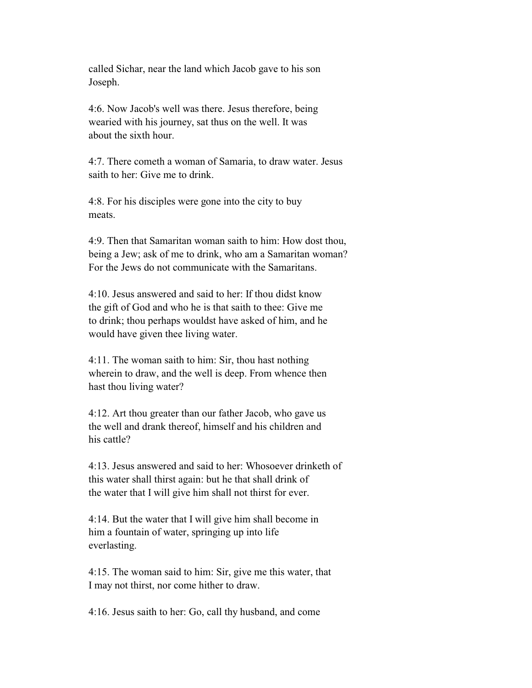called Sichar, near the land which Jacob gave to his son Joseph.

 4:6. Now Jacob's well was there. Jesus therefore, being wearied with his journey, sat thus on the well. It was about the sixth hour.

 4:7. There cometh a woman of Samaria, to draw water. Jesus saith to her: Give me to drink.

 4:8. For his disciples were gone into the city to buy meats.

 4:9. Then that Samaritan woman saith to him: How dost thou, being a Jew; ask of me to drink, who am a Samaritan woman? For the Jews do not communicate with the Samaritans.

 4:10. Jesus answered and said to her: If thou didst know the gift of God and who he is that saith to thee: Give me to drink; thou perhaps wouldst have asked of him, and he would have given thee living water.

 4:11. The woman saith to him: Sir, thou hast nothing wherein to draw, and the well is deep. From whence then hast thou living water?

 4:12. Art thou greater than our father Jacob, who gave us the well and drank thereof, himself and his children and his cattle?

 4:13. Jesus answered and said to her: Whosoever drinketh of this water shall thirst again: but he that shall drink of the water that I will give him shall not thirst for ever.

 4:14. But the water that I will give him shall become in him a fountain of water, springing up into life everlasting.

 4:15. The woman said to him: Sir, give me this water, that I may not thirst, nor come hither to draw.

4:16. Jesus saith to her: Go, call thy husband, and come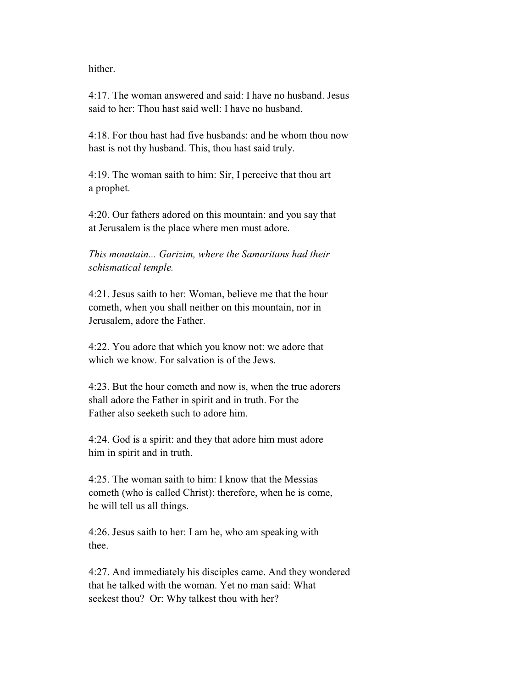hither.

 4:17. The woman answered and said: I have no husband. Jesus said to her: Thou hast said well: I have no husband.

 4:18. For thou hast had five husbands: and he whom thou now hast is not thy husband. This, thou hast said truly.

 4:19. The woman saith to him: Sir, I perceive that thou art a prophet.

 4:20. Our fathers adored on this mountain: and you say that at Jerusalem is the place where men must adore.

 *This mountain... Garizim, where the Samaritans had their schismatical temple.*

 4:21. Jesus saith to her: Woman, believe me that the hour cometh, when you shall neither on this mountain, nor in Jerusalem, adore the Father.

 4:22. You adore that which you know not: we adore that which we know. For salvation is of the Jews.

 4:23. But the hour cometh and now is, when the true adorers shall adore the Father in spirit and in truth. For the Father also seeketh such to adore him.

 4:24. God is a spirit: and they that adore him must adore him in spirit and in truth.

 4:25. The woman saith to him: I know that the Messias cometh (who is called Christ): therefore, when he is come, he will tell us all things.

 4:26. Jesus saith to her: I am he, who am speaking with thee.

 4:27. And immediately his disciples came. And they wondered that he talked with the woman. Yet no man said: What seekest thou? Or: Why talkest thou with her?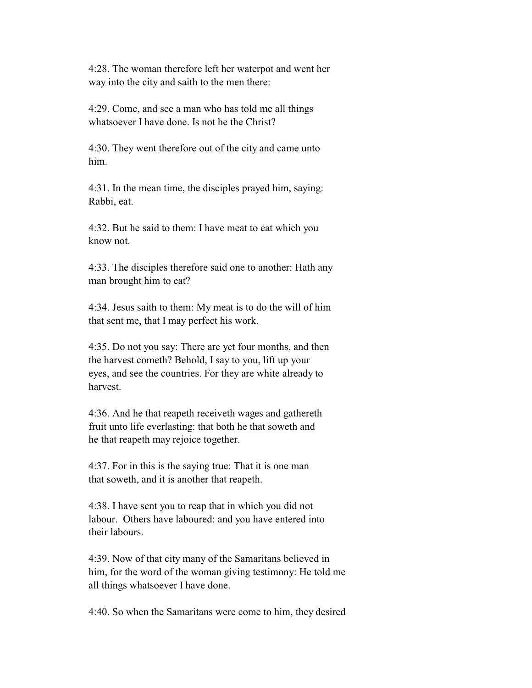4:28. The woman therefore left her waterpot and went her way into the city and saith to the men there:

 4:29. Come, and see a man who has told me all things whatsoever I have done. Is not he the Christ?

 4:30. They went therefore out of the city and came unto him.

 4:31. In the mean time, the disciples prayed him, saying: Rabbi, eat.

 4:32. But he said to them: I have meat to eat which you know not.

 4:33. The disciples therefore said one to another: Hath any man brought him to eat?

 4:34. Jesus saith to them: My meat is to do the will of him that sent me, that I may perfect his work.

 4:35. Do not you say: There are yet four months, and then the harvest cometh? Behold, I say to you, lift up your eyes, and see the countries. For they are white already to harvest.

 4:36. And he that reapeth receiveth wages and gathereth fruit unto life everlasting: that both he that soweth and he that reapeth may rejoice together.

 4:37. For in this is the saying true: That it is one man that soweth, and it is another that reapeth.

 4:38. I have sent you to reap that in which you did not labour. Others have laboured: and you have entered into their labours.

 4:39. Now of that city many of the Samaritans believed in him, for the word of the woman giving testimony: He told me all things whatsoever I have done.

4:40. So when the Samaritans were come to him, they desired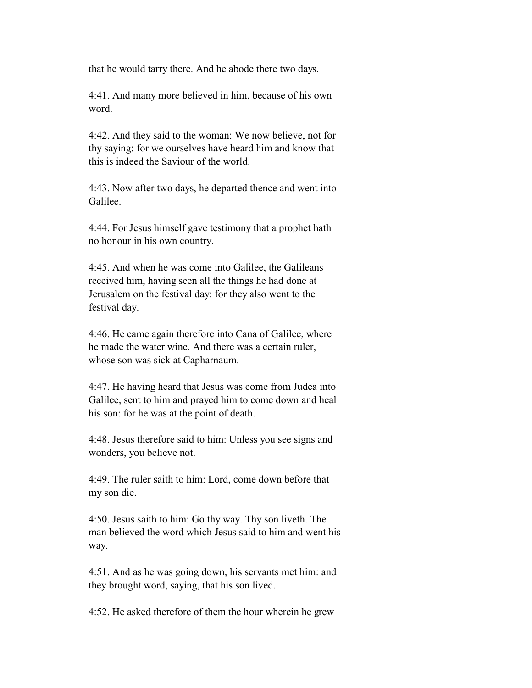that he would tarry there. And he abode there two days.

 4:41. And many more believed in him, because of his own word.

 4:42. And they said to the woman: We now believe, not for thy saying: for we ourselves have heard him and know that this is indeed the Saviour of the world.

 4:43. Now after two days, he departed thence and went into Galilee.

 4:44. For Jesus himself gave testimony that a prophet hath no honour in his own country.

 4:45. And when he was come into Galilee, the Galileans received him, having seen all the things he had done at Jerusalem on the festival day: for they also went to the festival day.

 4:46. He came again therefore into Cana of Galilee, where he made the water wine. And there was a certain ruler, whose son was sick at Capharnaum.

 4:47. He having heard that Jesus was come from Judea into Galilee, sent to him and prayed him to come down and heal his son: for he was at the point of death.

 4:48. Jesus therefore said to him: Unless you see signs and wonders, you believe not.

 4:49. The ruler saith to him: Lord, come down before that my son die.

 4:50. Jesus saith to him: Go thy way. Thy son liveth. The man believed the word which Jesus said to him and went his way.

 4:51. And as he was going down, his servants met him: and they brought word, saying, that his son lived.

4:52. He asked therefore of them the hour wherein he grew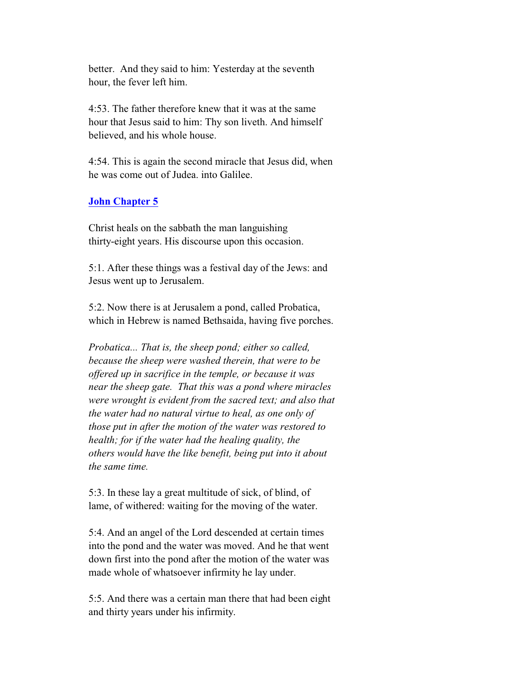better. And they said to him: Yesterday at the seventh hour, the fever left him.

 4:53. The father therefore knew that it was at the same hour that Jesus said to him: Thy son liveth. And himself believed, and his whole house.

 4:54. This is again the second miracle that Jesus did, when he was come out of Judea. into Galilee.

#### **John Chapter 5**

 Christ heals on the sabbath the man languishing thirty-eight years. His discourse upon this occasion.

 5:1. After these things was a festival day of the Jews: and Jesus went up to Jerusalem.

 5:2. Now there is at Jerusalem a pond, called Probatica, which in Hebrew is named Bethsaida, having five porches.

 *Probatica... That is, the sheep pond; either so called, because the sheep were washed therein, that were to be offered up in sacrifice in the temple, or because it was near the sheep gate. That this was a pond where miracles were wrought is evident from the sacred text; and also that the water had no natural virtue to heal, as one only of those put in after the motion of the water was restored to health; for if the water had the healing quality, the others would have the like benefit, being put into it about the same time.*

 5:3. In these lay a great multitude of sick, of blind, of lame, of withered: waiting for the moving of the water.

 5:4. And an angel of the Lord descended at certain times into the pond and the water was moved. And he that went down first into the pond after the motion of the water was made whole of whatsoever infirmity he lay under.

 5:5. And there was a certain man there that had been eight and thirty years under his infirmity.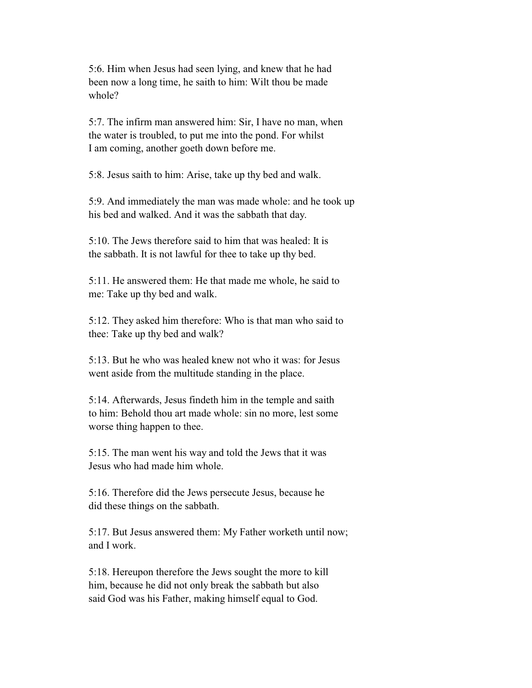5:6. Him when Jesus had seen lying, and knew that he had been now a long time, he saith to him: Wilt thou be made whole?

 5:7. The infirm man answered him: Sir, I have no man, when the water is troubled, to put me into the pond. For whilst I am coming, another goeth down before me.

5:8. Jesus saith to him: Arise, take up thy bed and walk.

 5:9. And immediately the man was made whole: and he took up his bed and walked. And it was the sabbath that day.

 5:10. The Jews therefore said to him that was healed: It is the sabbath. It is not lawful for thee to take up thy bed.

 5:11. He answered them: He that made me whole, he said to me: Take up thy bed and walk.

 5:12. They asked him therefore: Who is that man who said to thee: Take up thy bed and walk?

 5:13. But he who was healed knew not who it was: for Jesus went aside from the multitude standing in the place.

 5:14. Afterwards, Jesus findeth him in the temple and saith to him: Behold thou art made whole: sin no more, lest some worse thing happen to thee.

 5:15. The man went his way and told the Jews that it was Jesus who had made him whole.

 5:16. Therefore did the Jews persecute Jesus, because he did these things on the sabbath.

 5:17. But Jesus answered them: My Father worketh until now; and I work.

 5:18. Hereupon therefore the Jews sought the more to kill him, because he did not only break the sabbath but also said God was his Father, making himself equal to God.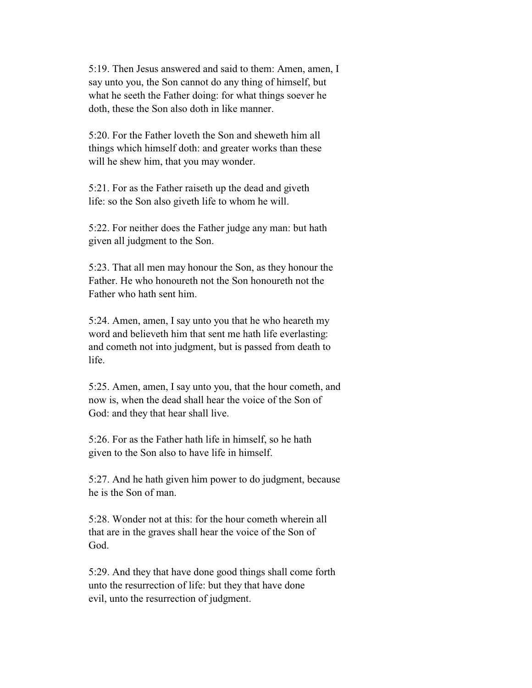5:19. Then Jesus answered and said to them: Amen, amen, I say unto you, the Son cannot do any thing of himself, but what he seeth the Father doing: for what things soever he doth, these the Son also doth in like manner.

 5:20. For the Father loveth the Son and sheweth him all things which himself doth: and greater works than these will he shew him, that you may wonder.

 5:21. For as the Father raiseth up the dead and giveth life: so the Son also giveth life to whom he will.

 5:22. For neither does the Father judge any man: but hath given all judgment to the Son.

 5:23. That all men may honour the Son, as they honour the Father. He who honoureth not the Son honoureth not the Father who hath sent him.

 5:24. Amen, amen, I say unto you that he who heareth my word and believeth him that sent me hath life everlasting: and cometh not into judgment, but is passed from death to life.

 5:25. Amen, amen, I say unto you, that the hour cometh, and now is, when the dead shall hear the voice of the Son of God: and they that hear shall live.

 5:26. For as the Father hath life in himself, so he hath given to the Son also to have life in himself.

 5:27. And he hath given him power to do judgment, because he is the Son of man.

 5:28. Wonder not at this: for the hour cometh wherein all that are in the graves shall hear the voice of the Son of God.

 5:29. And they that have done good things shall come forth unto the resurrection of life: but they that have done evil, unto the resurrection of judgment.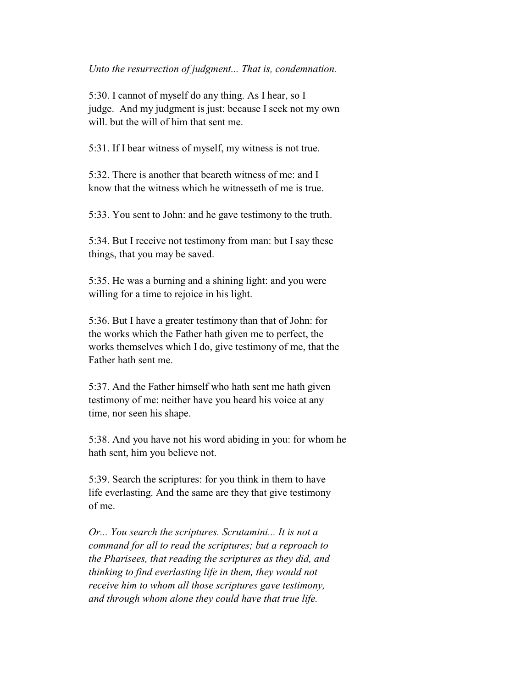*Unto the resurrection of judgment... That is, condemnation.*

 5:30. I cannot of myself do any thing. As I hear, so I judge. And my judgment is just: because I seek not my own will. but the will of him that sent me.

5:31. If I bear witness of myself, my witness is not true.

 5:32. There is another that beareth witness of me: and I know that the witness which he witnesseth of me is true.

5:33. You sent to John: and he gave testimony to the truth.

 5:34. But I receive not testimony from man: but I say these things, that you may be saved.

 5:35. He was a burning and a shining light: and you were willing for a time to rejoice in his light.

 5:36. But I have a greater testimony than that of John: for the works which the Father hath given me to perfect, the works themselves which I do, give testimony of me, that the Father hath sent me.

 5:37. And the Father himself who hath sent me hath given testimony of me: neither have you heard his voice at any time, nor seen his shape.

 5:38. And you have not his word abiding in you: for whom he hath sent, him you believe not.

 5:39. Search the scriptures: for you think in them to have life everlasting. And the same are they that give testimony of me.

 *Or... You search the scriptures. Scrutamini... It is not a command for all to read the scriptures; but a reproach to the Pharisees, that reading the scriptures as they did, and thinking to find everlasting life in them, they would not receive him to whom all those scriptures gave testimony, and through whom alone they could have that true life.*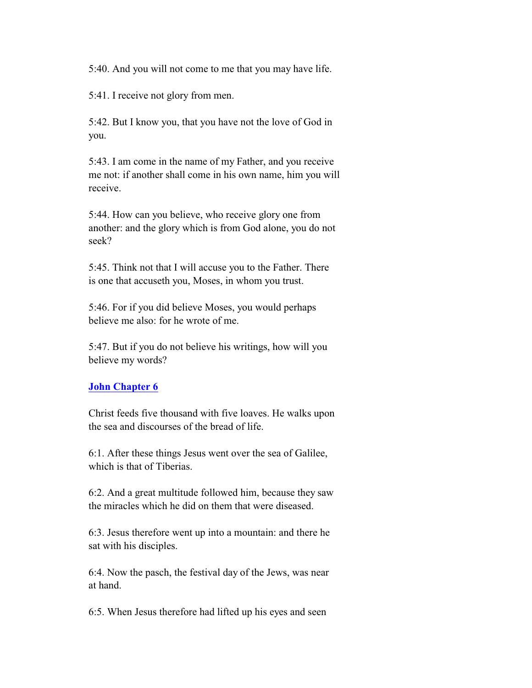5:40. And you will not come to me that you may have life.

5:41. I receive not glory from men.

 5:42. But I know you, that you have not the love of God in you.

 5:43. I am come in the name of my Father, and you receive me not: if another shall come in his own name, him you will receive.

 5:44. How can you believe, who receive glory one from another: and the glory which is from God alone, you do not seek?

 5:45. Think not that I will accuse you to the Father. There is one that accuseth you, Moses, in whom you trust.

 5:46. For if you did believe Moses, you would perhaps believe me also: for he wrote of me.

 5:47. But if you do not believe his writings, how will you believe my words?

#### **John Chapter 6**

 Christ feeds five thousand with five loaves. He walks upon the sea and discourses of the bread of life.

 6:1. After these things Jesus went over the sea of Galilee, which is that of Tiberias.

 6:2. And a great multitude followed him, because they saw the miracles which he did on them that were diseased.

 6:3. Jesus therefore went up into a mountain: and there he sat with his disciples.

 6:4. Now the pasch, the festival day of the Jews, was near at hand.

6:5. When Jesus therefore had lifted up his eyes and seen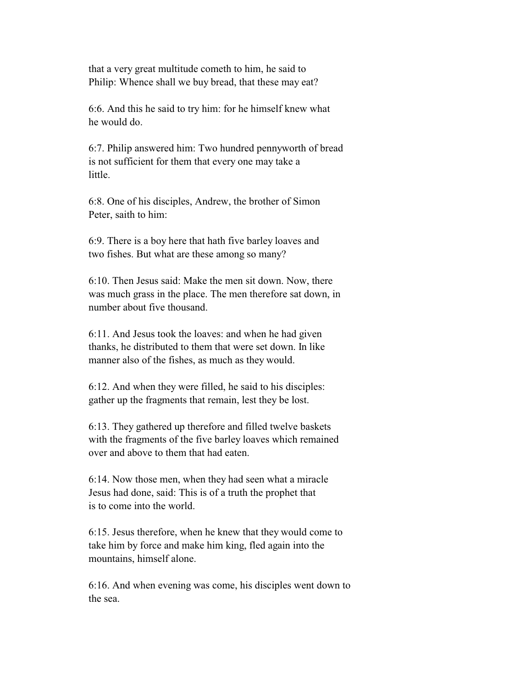that a very great multitude cometh to him, he said to Philip: Whence shall we buy bread, that these may eat?

 6:6. And this he said to try him: for he himself knew what he would do.

 6:7. Philip answered him: Two hundred pennyworth of bread is not sufficient for them that every one may take a little.

 6:8. One of his disciples, Andrew, the brother of Simon Peter, saith to him:

 6:9. There is a boy here that hath five barley loaves and two fishes. But what are these among so many?

 6:10. Then Jesus said: Make the men sit down. Now, there was much grass in the place. The men therefore sat down, in number about five thousand.

 6:11. And Jesus took the loaves: and when he had given thanks, he distributed to them that were set down. In like manner also of the fishes, as much as they would.

 6:12. And when they were filled, he said to his disciples: gather up the fragments that remain, lest they be lost.

 6:13. They gathered up therefore and filled twelve baskets with the fragments of the five barley loaves which remained over and above to them that had eaten.

 6:14. Now those men, when they had seen what a miracle Jesus had done, said: This is of a truth the prophet that is to come into the world.

 6:15. Jesus therefore, when he knew that they would come to take him by force and make him king, fled again into the mountains, himself alone.

 6:16. And when evening was come, his disciples went down to the sea.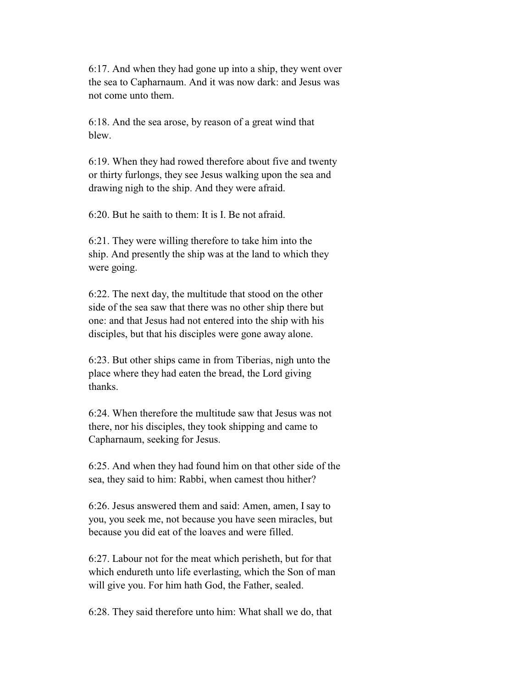6:17. And when they had gone up into a ship, they went over the sea to Capharnaum. And it was now dark: and Jesus was not come unto them.

 6:18. And the sea arose, by reason of a great wind that blew.

 6:19. When they had rowed therefore about five and twenty or thirty furlongs, they see Jesus walking upon the sea and drawing nigh to the ship. And they were afraid.

6:20. But he saith to them: It is I. Be not afraid.

 6:21. They were willing therefore to take him into the ship. And presently the ship was at the land to which they were going.

 6:22. The next day, the multitude that stood on the other side of the sea saw that there was no other ship there but one: and that Jesus had not entered into the ship with his disciples, but that his disciples were gone away alone.

 6:23. But other ships came in from Tiberias, nigh unto the place where they had eaten the bread, the Lord giving thanks.

 6:24. When therefore the multitude saw that Jesus was not there, nor his disciples, they took shipping and came to Capharnaum, seeking for Jesus.

 6:25. And when they had found him on that other side of the sea, they said to him: Rabbi, when camest thou hither?

 6:26. Jesus answered them and said: Amen, amen, I say to you, you seek me, not because you have seen miracles, but because you did eat of the loaves and were filled.

 6:27. Labour not for the meat which perisheth, but for that which endureth unto life everlasting, which the Son of man will give you. For him hath God, the Father, sealed.

6:28. They said therefore unto him: What shall we do, that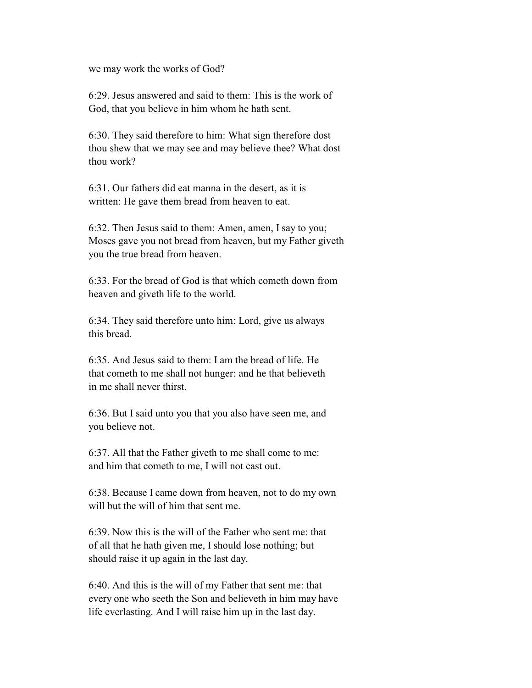we may work the works of God?

 6:29. Jesus answered and said to them: This is the work of God, that you believe in him whom he hath sent.

 6:30. They said therefore to him: What sign therefore dost thou shew that we may see and may believe thee? What dost thou work?

 6:31. Our fathers did eat manna in the desert, as it is written: He gave them bread from heaven to eat.

 6:32. Then Jesus said to them: Amen, amen, I say to you; Moses gave you not bread from heaven, but my Father giveth you the true bread from heaven.

 6:33. For the bread of God is that which cometh down from heaven and giveth life to the world.

 6:34. They said therefore unto him: Lord, give us always this bread.

 6:35. And Jesus said to them: I am the bread of life. He that cometh to me shall not hunger: and he that believeth in me shall never thirst.

 6:36. But I said unto you that you also have seen me, and you believe not.

 6:37. All that the Father giveth to me shall come to me: and him that cometh to me, I will not cast out.

 6:38. Because I came down from heaven, not to do my own will but the will of him that sent me.

 6:39. Now this is the will of the Father who sent me: that of all that he hath given me, I should lose nothing; but should raise it up again in the last day.

 6:40. And this is the will of my Father that sent me: that every one who seeth the Son and believeth in him may have life everlasting. And I will raise him up in the last day.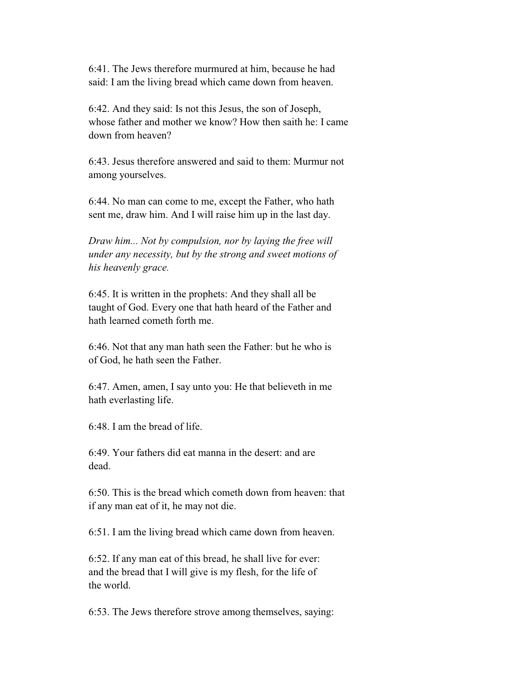6:41. The Jews therefore murmured at him, because he had said: I am the living bread which came down from heaven.

 6:42. And they said: Is not this Jesus, the son of Joseph, whose father and mother we know? How then saith he: I came down from heaven?

 6:43. Jesus therefore answered and said to them: Murmur not among yourselves.

 6:44. No man can come to me, except the Father, who hath sent me, draw him. And I will raise him up in the last day.

 *Draw him... Not by compulsion, nor by laying the free will under any necessity, but by the strong and sweet motions of his heavenly grace.*

 6:45. It is written in the prophets: And they shall all be taught of God. Every one that hath heard of the Father and hath learned cometh forth me.

 6:46. Not that any man hath seen the Father: but he who is of God, he hath seen the Father.

 6:47. Amen, amen, I say unto you: He that believeth in me hath everlasting life.

6:48. I am the bread of life.

 6:49. Your fathers did eat manna in the desert: and are dead.

 6:50. This is the bread which cometh down from heaven: that if any man eat of it, he may not die.

6:51. I am the living bread which came down from heaven.

 6:52. If any man eat of this bread, he shall live for ever: and the bread that I will give is my flesh, for the life of the world.

6:53. The Jews therefore strove among themselves, saying: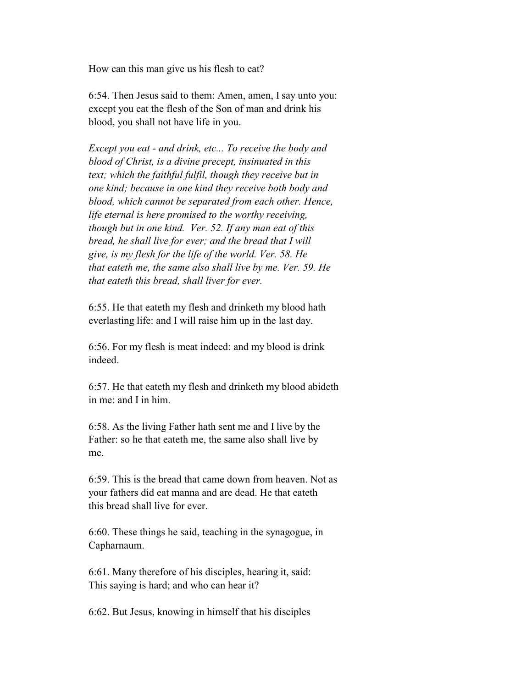How can this man give us his flesh to eat?

 6:54. Then Jesus said to them: Amen, amen, I say unto you: except you eat the flesh of the Son of man and drink his blood, you shall not have life in you.

 *Except you eat - and drink, etc... To receive the body and blood of Christ, is a divine precept, insinuated in this text; which the faithful fulfil, though they receive but in one kind; because in one kind they receive both body and blood, which cannot be separated from each other. Hence, life eternal is here promised to the worthy receiving, though but in one kind. Ver. 52. If any man eat of this bread, he shall live for ever; and the bread that I will give, is my flesh for the life of the world. Ver. 58. He that eateth me, the same also shall live by me. Ver. 59. He that eateth this bread, shall liver for ever.*

 6:55. He that eateth my flesh and drinketh my blood hath everlasting life: and I will raise him up in the last day.

 6:56. For my flesh is meat indeed: and my blood is drink indeed.

 6:57. He that eateth my flesh and drinketh my blood abideth in me: and I in him.

 6:58. As the living Father hath sent me and I live by the Father: so he that eateth me, the same also shall live by me.

 6:59. This is the bread that came down from heaven. Not as your fathers did eat manna and are dead. He that eateth this bread shall live for ever.

 6:60. These things he said, teaching in the synagogue, in Capharnaum.

 6:61. Many therefore of his disciples, hearing it, said: This saying is hard; and who can hear it?

6:62. But Jesus, knowing in himself that his disciples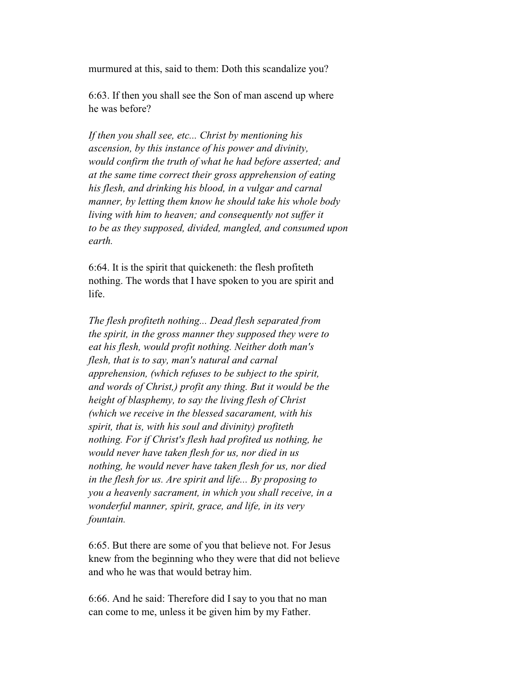murmured at this, said to them: Doth this scandalize you?

 6:63. If then you shall see the Son of man ascend up where he was before?

 *If then you shall see, etc... Christ by mentioning his ascension, by this instance of his power and divinity, would confirm the truth of what he had before asserted; and at the same time correct their gross apprehension of eating his flesh, and drinking his blood, in a vulgar and carnal manner, by letting them know he should take his whole body living with him to heaven; and consequently not suffer it to be as they supposed, divided, mangled, and consumed upon earth.*

 6:64. It is the spirit that quickeneth: the flesh profiteth nothing. The words that I have spoken to you are spirit and life.

 *The flesh profiteth nothing... Dead flesh separated from the spirit, in the gross manner they supposed they were to eat his flesh, would profit nothing. Neither doth man's flesh, that is to say, man's natural and carnal apprehension, (which refuses to be subject to the spirit, and words of Christ,) profit any thing. But it would be the height of blasphemy, to say the living flesh of Christ (which we receive in the blessed sacarament, with his spirit, that is, with his soul and divinity) profiteth nothing. For if Christ's flesh had profited us nothing, he would never have taken flesh for us, nor died in us nothing, he would never have taken flesh for us, nor died in the flesh for us. Are spirit and life... By proposing to you a heavenly sacrament, in which you shall receive, in a wonderful manner, spirit, grace, and life, in its very fountain.*

 6:65. But there are some of you that believe not. For Jesus knew from the beginning who they were that did not believe and who he was that would betray him.

 6:66. And he said: Therefore did I say to you that no man can come to me, unless it be given him by my Father.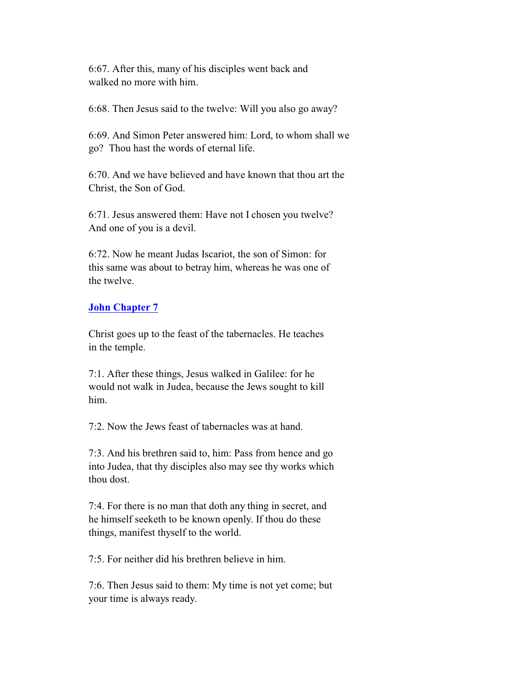6:67. After this, many of his disciples went back and walked no more with him.

6:68. Then Jesus said to the twelve: Will you also go away?

 6:69. And Simon Peter answered him: Lord, to whom shall we go? Thou hast the words of eternal life.

 6:70. And we have believed and have known that thou art the Christ, the Son of God.

 6:71. Jesus answered them: Have not I chosen you twelve? And one of you is a devil.

 6:72. Now he meant Judas Iscariot, the son of Simon: for this same was about to betray him, whereas he was one of the twelve.

### **John Chapter 7**

 Christ goes up to the feast of the tabernacles. He teaches in the temple.

 7:1. After these things, Jesus walked in Galilee: for he would not walk in Judea, because the Jews sought to kill him.

7:2. Now the Jews feast of tabernacles was at hand.

 7:3. And his brethren said to, him: Pass from hence and go into Judea, that thy disciples also may see thy works which thou dost.

 7:4. For there is no man that doth any thing in secret, and he himself seeketh to be known openly. If thou do these things, manifest thyself to the world.

7:5. For neither did his brethren believe in him.

 7:6. Then Jesus said to them: My time is not yet come; but your time is always ready.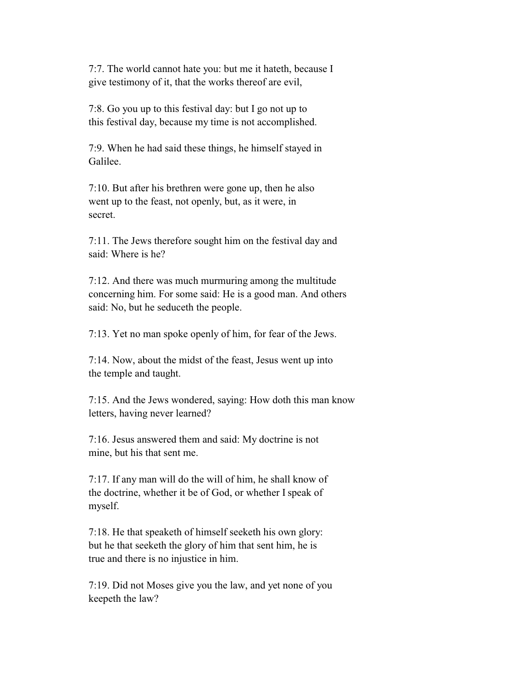7:7. The world cannot hate you: but me it hateth, because I give testimony of it, that the works thereof are evil,

 7:8. Go you up to this festival day: but I go not up to this festival day, because my time is not accomplished.

 7:9. When he had said these things, he himself stayed in Galilee.

 7:10. But after his brethren were gone up, then he also went up to the feast, not openly, but, as it were, in secret.

 7:11. The Jews therefore sought him on the festival day and said: Where is he?

 7:12. And there was much murmuring among the multitude concerning him. For some said: He is a good man. And others said: No, but he seduceth the people.

7:13. Yet no man spoke openly of him, for fear of the Jews.

 7:14. Now, about the midst of the feast, Jesus went up into the temple and taught.

 7:15. And the Jews wondered, saying: How doth this man know letters, having never learned?

 7:16. Jesus answered them and said: My doctrine is not mine, but his that sent me.

 7:17. If any man will do the will of him, he shall know of the doctrine, whether it be of God, or whether I speak of myself.

 7:18. He that speaketh of himself seeketh his own glory: but he that seeketh the glory of him that sent him, he is true and there is no injustice in him.

 7:19. Did not Moses give you the law, and yet none of you keepeth the law?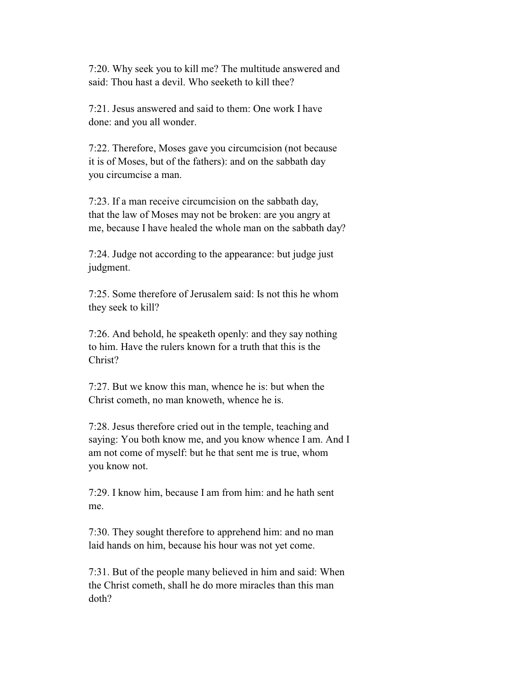7:20. Why seek you to kill me? The multitude answered and said: Thou hast a devil. Who seeketh to kill thee?

 7:21. Jesus answered and said to them: One work I have done: and you all wonder.

 7:22. Therefore, Moses gave you circumcision (not because it is of Moses, but of the fathers): and on the sabbath day you circumcise a man.

 7:23. If a man receive circumcision on the sabbath day, that the law of Moses may not be broken: are you angry at me, because I have healed the whole man on the sabbath day?

 7:24. Judge not according to the appearance: but judge just judgment.

 7:25. Some therefore of Jerusalem said: Is not this he whom they seek to kill?

 7:26. And behold, he speaketh openly: and they say nothing to him. Have the rulers known for a truth that this is the Christ?

 7:27. But we know this man, whence he is: but when the Christ cometh, no man knoweth, whence he is.

 7:28. Jesus therefore cried out in the temple, teaching and saying: You both know me, and you know whence I am. And I am not come of myself: but he that sent me is true, whom you know not.

 7:29. I know him, because I am from him: and he hath sent me.

 7:30. They sought therefore to apprehend him: and no man laid hands on him, because his hour was not yet come.

 7:31. But of the people many believed in him and said: When the Christ cometh, shall he do more miracles than this man doth?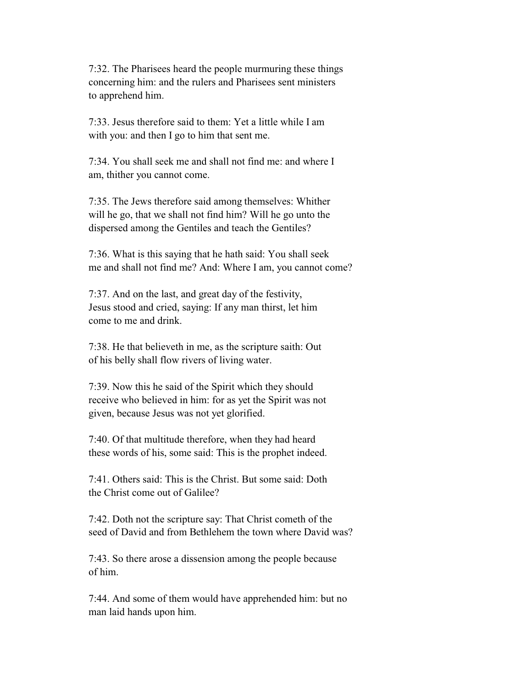7:32. The Pharisees heard the people murmuring these things concerning him: and the rulers and Pharisees sent ministers to apprehend him.

 7:33. Jesus therefore said to them: Yet a little while I am with you: and then I go to him that sent me.

 7:34. You shall seek me and shall not find me: and where I am, thither you cannot come.

 7:35. The Jews therefore said among themselves: Whither will he go, that we shall not find him? Will he go unto the dispersed among the Gentiles and teach the Gentiles?

 7:36. What is this saying that he hath said: You shall seek me and shall not find me? And: Where I am, you cannot come?

 7:37. And on the last, and great day of the festivity, Jesus stood and cried, saying: If any man thirst, let him come to me and drink.

 7:38. He that believeth in me, as the scripture saith: Out of his belly shall flow rivers of living water.

 7:39. Now this he said of the Spirit which they should receive who believed in him: for as yet the Spirit was not given, because Jesus was not yet glorified.

 7:40. Of that multitude therefore, when they had heard these words of his, some said: This is the prophet indeed.

 7:41. Others said: This is the Christ. But some said: Doth the Christ come out of Galilee?

 7:42. Doth not the scripture say: That Christ cometh of the seed of David and from Bethlehem the town where David was?

 7:43. So there arose a dissension among the people because of him.

 7:44. And some of them would have apprehended him: but no man laid hands upon him.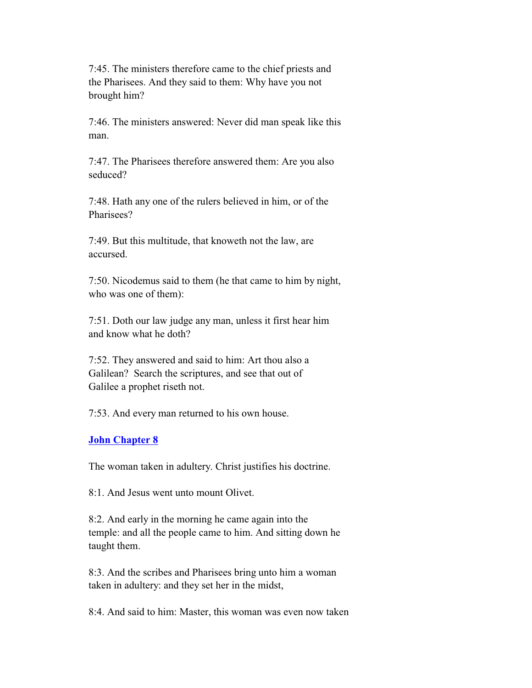7:45. The ministers therefore came to the chief priests and the Pharisees. And they said to them: Why have you not brought him?

 7:46. The ministers answered: Never did man speak like this man.

 7:47. The Pharisees therefore answered them: Are you also seduced?

 7:48. Hath any one of the rulers believed in him, or of the Pharisees?

 7:49. But this multitude, that knoweth not the law, are accursed.

 7:50. Nicodemus said to them (he that came to him by night, who was one of them):

 7:51. Doth our law judge any man, unless it first hear him and know what he doth?

 7:52. They answered and said to him: Art thou also a Galilean? Search the scriptures, and see that out of Galilee a prophet riseth not.

7:53. And every man returned to his own house.

#### **John Chapter 8**

The woman taken in adultery. Christ justifies his doctrine.

8:1. And Jesus went unto mount Olivet.

 8:2. And early in the morning he came again into the temple: and all the people came to him. And sitting down he taught them.

 8:3. And the scribes and Pharisees bring unto him a woman taken in adultery: and they set her in the midst,

8:4. And said to him: Master, this woman was even now taken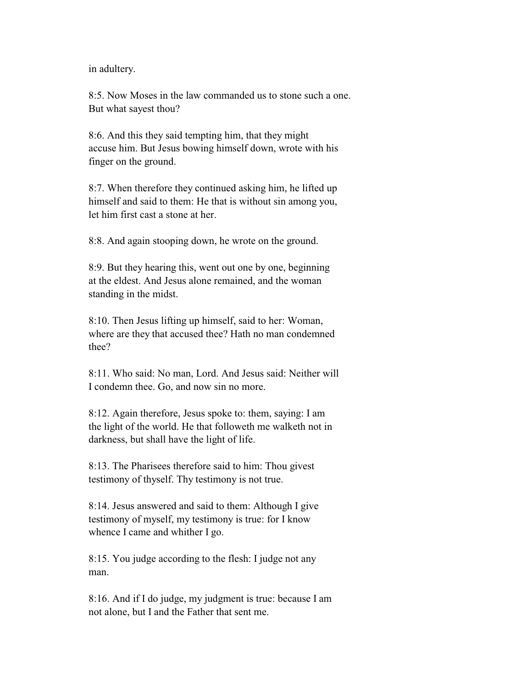in adultery.

 8:5. Now Moses in the law commanded us to stone such a one. But what sayest thou?

 8:6. And this they said tempting him, that they might accuse him. But Jesus bowing himself down, wrote with his finger on the ground.

 8:7. When therefore they continued asking him, he lifted up himself and said to them: He that is without sin among you, let him first cast a stone at her.

8:8. And again stooping down, he wrote on the ground.

 8:9. But they hearing this, went out one by one, beginning at the eldest. And Jesus alone remained, and the woman standing in the midst.

 8:10. Then Jesus lifting up himself, said to her: Woman, where are they that accused thee? Hath no man condemned thee?

 8:11. Who said: No man, Lord. And Jesus said: Neither will I condemn thee. Go, and now sin no more.

 8:12. Again therefore, Jesus spoke to: them, saying: I am the light of the world. He that followeth me walketh not in darkness, but shall have the light of life.

 8:13. The Pharisees therefore said to him: Thou givest testimony of thyself. Thy testimony is not true.

 8:14. Jesus answered and said to them: Although I give testimony of myself, my testimony is true: for I know whence I came and whither I go.

 8:15. You judge according to the flesh: I judge not any man.

 8:16. And if I do judge, my judgment is true: because I am not alone, but I and the Father that sent me.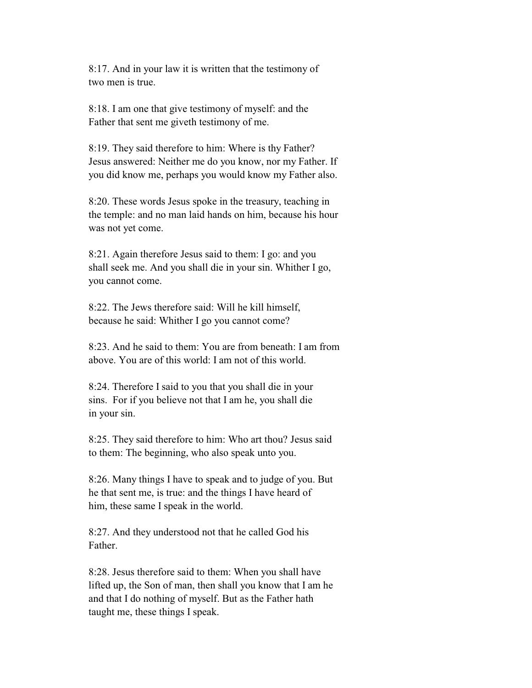8:17. And in your law it is written that the testimony of two men is true.

 8:18. I am one that give testimony of myself: and the Father that sent me giveth testimony of me.

 8:19. They said therefore to him: Where is thy Father? Jesus answered: Neither me do you know, nor my Father. If you did know me, perhaps you would know my Father also.

 8:20. These words Jesus spoke in the treasury, teaching in the temple: and no man laid hands on him, because his hour was not yet come.

 8:21. Again therefore Jesus said to them: I go: and you shall seek me. And you shall die in your sin. Whither I go, you cannot come.

 8:22. The Jews therefore said: Will he kill himself, because he said: Whither I go you cannot come?

 8:23. And he said to them: You are from beneath: I am from above. You are of this world: I am not of this world.

 8:24. Therefore I said to you that you shall die in your sins. For if you believe not that I am he, you shall die in your sin.

 8:25. They said therefore to him: Who art thou? Jesus said to them: The beginning, who also speak unto you.

 8:26. Many things I have to speak and to judge of you. But he that sent me, is true: and the things I have heard of him, these same I speak in the world.

 8:27. And they understood not that he called God his Father.

 8:28. Jesus therefore said to them: When you shall have lifted up, the Son of man, then shall you know that I am he and that I do nothing of myself. But as the Father hath taught me, these things I speak.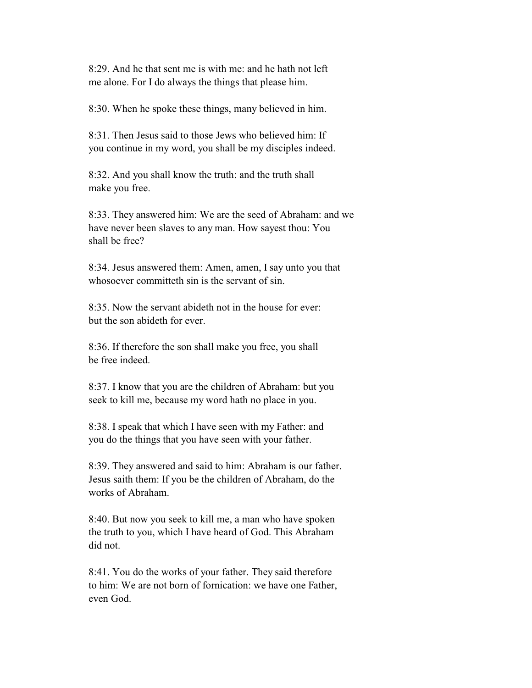8:29. And he that sent me is with me: and he hath not left me alone. For I do always the things that please him.

8:30. When he spoke these things, many believed in him.

 8:31. Then Jesus said to those Jews who believed him: If you continue in my word, you shall be my disciples indeed.

 8:32. And you shall know the truth: and the truth shall make you free.

 8:33. They answered him: We are the seed of Abraham: and we have never been slaves to any man. How sayest thou: You shall be free?

 8:34. Jesus answered them: Amen, amen, I say unto you that whosoever committeth sin is the servant of sin.

 8:35. Now the servant abideth not in the house for ever: but the son abideth for ever.

 8:36. If therefore the son shall make you free, you shall be free indeed.

 8:37. I know that you are the children of Abraham: but you seek to kill me, because my word hath no place in you.

 8:38. I speak that which I have seen with my Father: and you do the things that you have seen with your father.

 8:39. They answered and said to him: Abraham is our father. Jesus saith them: If you be the children of Abraham, do the works of Abraham.

 8:40. But now you seek to kill me, a man who have spoken the truth to you, which I have heard of God. This Abraham did not.

 8:41. You do the works of your father. They said therefore to him: We are not born of fornication: we have one Father, even God.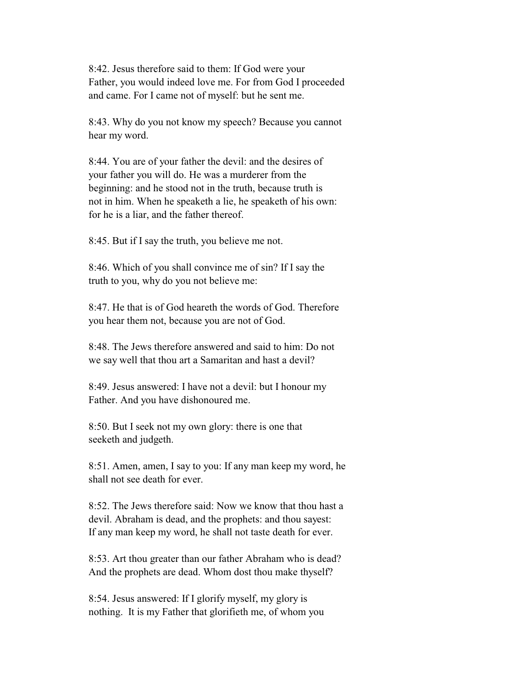8:42. Jesus therefore said to them: If God were your Father, you would indeed love me. For from God I proceeded and came. For I came not of myself: but he sent me.

 8:43. Why do you not know my speech? Because you cannot hear my word.

 8:44. You are of your father the devil: and the desires of your father you will do. He was a murderer from the beginning: and he stood not in the truth, because truth is not in him. When he speaketh a lie, he speaketh of his own: for he is a liar, and the father thereof.

8:45. But if I say the truth, you believe me not.

 8:46. Which of you shall convince me of sin? If I say the truth to you, why do you not believe me:

 8:47. He that is of God heareth the words of God. Therefore you hear them not, because you are not of God.

 8:48. The Jews therefore answered and said to him: Do not we say well that thou art a Samaritan and hast a devil?

 8:49. Jesus answered: I have not a devil: but I honour my Father. And you have dishonoured me.

 8:50. But I seek not my own glory: there is one that seeketh and judgeth.

 8:51. Amen, amen, I say to you: If any man keep my word, he shall not see death for ever.

 8:52. The Jews therefore said: Now we know that thou hast a devil. Abraham is dead, and the prophets: and thou sayest: If any man keep my word, he shall not taste death for ever.

 8:53. Art thou greater than our father Abraham who is dead? And the prophets are dead. Whom dost thou make thyself?

 8:54. Jesus answered: If I glorify myself, my glory is nothing. It is my Father that glorifieth me, of whom you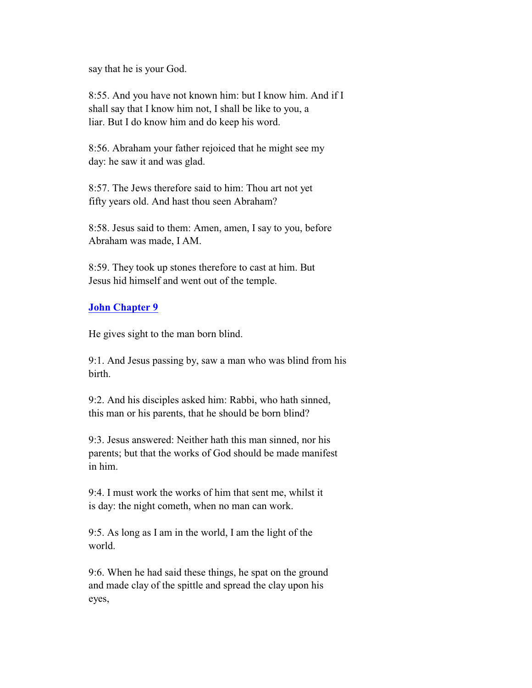say that he is your God.

 8:55. And you have not known him: but I know him. And if I shall say that I know him not, I shall be like to you, a liar. But I do know him and do keep his word.

 8:56. Abraham your father rejoiced that he might see my day: he saw it and was glad.

 8:57. The Jews therefore said to him: Thou art not yet fifty years old. And hast thou seen Abraham?

 8:58. Jesus said to them: Amen, amen, I say to you, before Abraham was made, I AM.

 8:59. They took up stones therefore to cast at him. But Jesus hid himself and went out of the temple.

## **John Chapter 9**

He gives sight to the man born blind.

 9:1. And Jesus passing by, saw a man who was blind from his birth.

 9:2. And his disciples asked him: Rabbi, who hath sinned, this man or his parents, that he should be born blind?

 9:3. Jesus answered: Neither hath this man sinned, nor his parents; but that the works of God should be made manifest in him.

 9:4. I must work the works of him that sent me, whilst it is day: the night cometh, when no man can work.

 9:5. As long as I am in the world, I am the light of the world.

 9:6. When he had said these things, he spat on the ground and made clay of the spittle and spread the clay upon his eyes,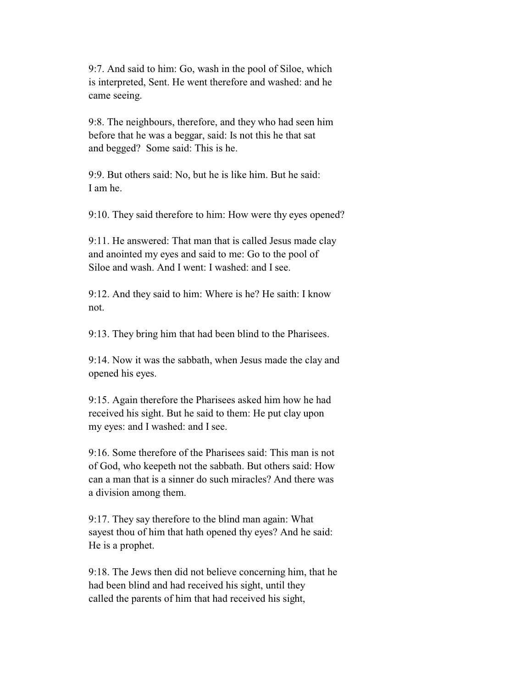9:7. And said to him: Go, wash in the pool of Siloe, which is interpreted, Sent. He went therefore and washed: and he came seeing.

 9:8. The neighbours, therefore, and they who had seen him before that he was a beggar, said: Is not this he that sat and begged? Some said: This is he.

 9:9. But others said: No, but he is like him. But he said: I am he.

9:10. They said therefore to him: How were thy eyes opened?

 9:11. He answered: That man that is called Jesus made clay and anointed my eyes and said to me: Go to the pool of Siloe and wash. And I went: I washed: and I see.

 9:12. And they said to him: Where is he? He saith: I know not.

9:13. They bring him that had been blind to the Pharisees.

 9:14. Now it was the sabbath, when Jesus made the clay and opened his eyes.

 9:15. Again therefore the Pharisees asked him how he had received his sight. But he said to them: He put clay upon my eyes: and I washed: and I see.

 9:16. Some therefore of the Pharisees said: This man is not of God, who keepeth not the sabbath. But others said: How can a man that is a sinner do such miracles? And there was a division among them.

 9:17. They say therefore to the blind man again: What sayest thou of him that hath opened thy eyes? And he said: He is a prophet.

 9:18. The Jews then did not believe concerning him, that he had been blind and had received his sight, until they called the parents of him that had received his sight,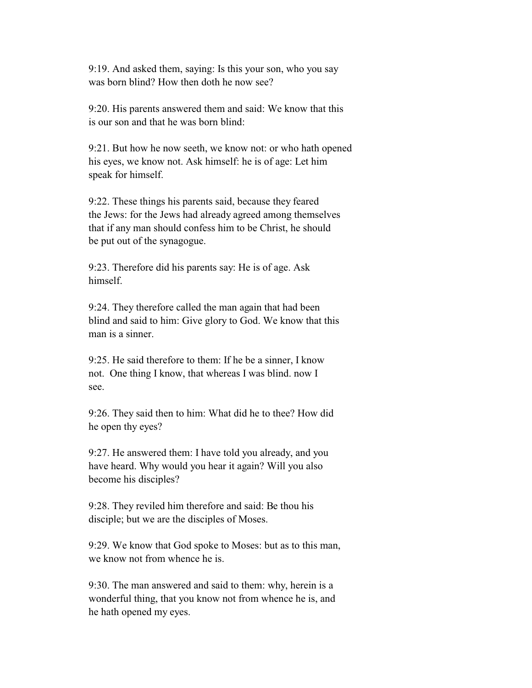9:19. And asked them, saying: Is this your son, who you say was born blind? How then doth he now see?

 9:20. His parents answered them and said: We know that this is our son and that he was born blind:

 9:21. But how he now seeth, we know not: or who hath opened his eyes, we know not. Ask himself: he is of age: Let him speak for himself.

 9:22. These things his parents said, because they feared the Jews: for the Jews had already agreed among themselves that if any man should confess him to be Christ, he should be put out of the synagogue.

 9:23. Therefore did his parents say: He is of age. Ask himself.

 9:24. They therefore called the man again that had been blind and said to him: Give glory to God. We know that this man is a sinner.

 9:25. He said therefore to them: If he be a sinner, I know not. One thing I know, that whereas I was blind. now I see.

 9:26. They said then to him: What did he to thee? How did he open thy eyes?

 9:27. He answered them: I have told you already, and you have heard. Why would you hear it again? Will you also become his disciples?

 9:28. They reviled him therefore and said: Be thou his disciple; but we are the disciples of Moses.

 9:29. We know that God spoke to Moses: but as to this man, we know not from whence he is.

 9:30. The man answered and said to them: why, herein is a wonderful thing, that you know not from whence he is, and he hath opened my eyes.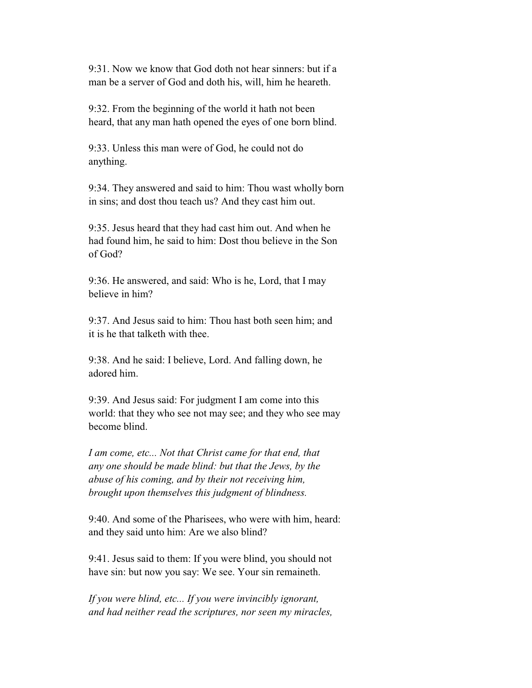9:31. Now we know that God doth not hear sinners: but if a man be a server of God and doth his, will, him he heareth.

 9:32. From the beginning of the world it hath not been heard, that any man hath opened the eyes of one born blind.

 9:33. Unless this man were of God, he could not do anything.

 9:34. They answered and said to him: Thou wast wholly born in sins; and dost thou teach us? And they cast him out.

 9:35. Jesus heard that they had cast him out. And when he had found him, he said to him: Dost thou believe in the Son of God?

 9:36. He answered, and said: Who is he, Lord, that I may believe in him?

 9:37. And Jesus said to him: Thou hast both seen him; and it is he that talketh with thee.

 9:38. And he said: I believe, Lord. And falling down, he adored him.

 9:39. And Jesus said: For judgment I am come into this world: that they who see not may see; and they who see may become blind.

 *I am come, etc... Not that Christ came for that end, that any one should be made blind: but that the Jews, by the abuse of his coming, and by their not receiving him, brought upon themselves this judgment of blindness.*

 9:40. And some of the Pharisees, who were with him, heard: and they said unto him: Are we also blind?

 9:41. Jesus said to them: If you were blind, you should not have sin: but now you say: We see. Your sin remaineth.

 *If you were blind, etc... If you were invincibly ignorant, and had neither read the scriptures, nor seen my miracles,*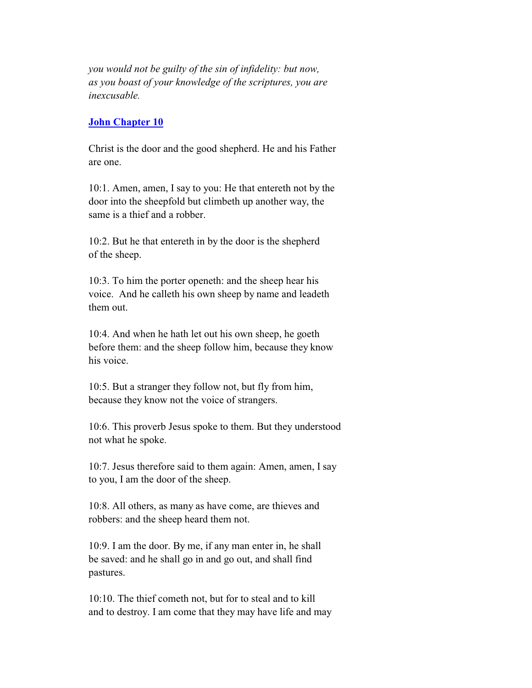*you would not be guilty of the sin of infidelity: but now, as you boast of your knowledge of the scriptures, you are inexcusable.*

#### **John Chapter 10**

 Christ is the door and the good shepherd. He and his Father are one.

 10:1. Amen, amen, I say to you: He that entereth not by the door into the sheepfold but climbeth up another way, the same is a thief and a robber.

 10:2. But he that entereth in by the door is the shepherd of the sheep.

 10:3. To him the porter openeth: and the sheep hear his voice. And he calleth his own sheep by name and leadeth them out.

 10:4. And when he hath let out his own sheep, he goeth before them: and the sheep follow him, because they know his voice.

 10:5. But a stranger they follow not, but fly from him, because they know not the voice of strangers.

 10:6. This proverb Jesus spoke to them. But they understood not what he spoke.

 10:7. Jesus therefore said to them again: Amen, amen, I say to you, I am the door of the sheep.

 10:8. All others, as many as have come, are thieves and robbers: and the sheep heard them not.

 10:9. I am the door. By me, if any man enter in, he shall be saved: and he shall go in and go out, and shall find pastures.

 10:10. The thief cometh not, but for to steal and to kill and to destroy. I am come that they may have life and may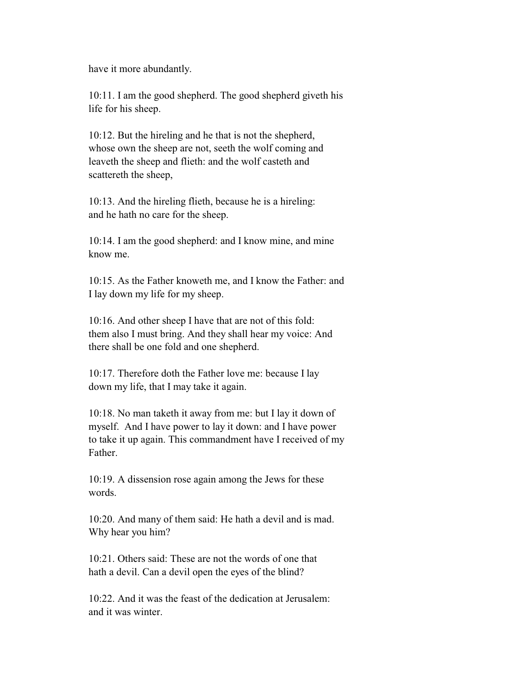have it more abundantly.

 10:11. I am the good shepherd. The good shepherd giveth his life for his sheep.

 10:12. But the hireling and he that is not the shepherd, whose own the sheep are not, seeth the wolf coming and leaveth the sheep and flieth: and the wolf casteth and scattereth the sheep,

 10:13. And the hireling flieth, because he is a hireling: and he hath no care for the sheep.

 10:14. I am the good shepherd: and I know mine, and mine know me.

 10:15. As the Father knoweth me, and I know the Father: and I lay down my life for my sheep.

 10:16. And other sheep I have that are not of this fold: them also I must bring. And they shall hear my voice: And there shall be one fold and one shepherd.

 10:17. Therefore doth the Father love me: because I lay down my life, that I may take it again.

 10:18. No man taketh it away from me: but I lay it down of myself. And I have power to lay it down: and I have power to take it up again. This commandment have I received of my Father.

 10:19. A dissension rose again among the Jews for these words.

 10:20. And many of them said: He hath a devil and is mad. Why hear you him?

 10:21. Others said: These are not the words of one that hath a devil. Can a devil open the eyes of the blind?

 10:22. And it was the feast of the dedication at Jerusalem: and it was winter.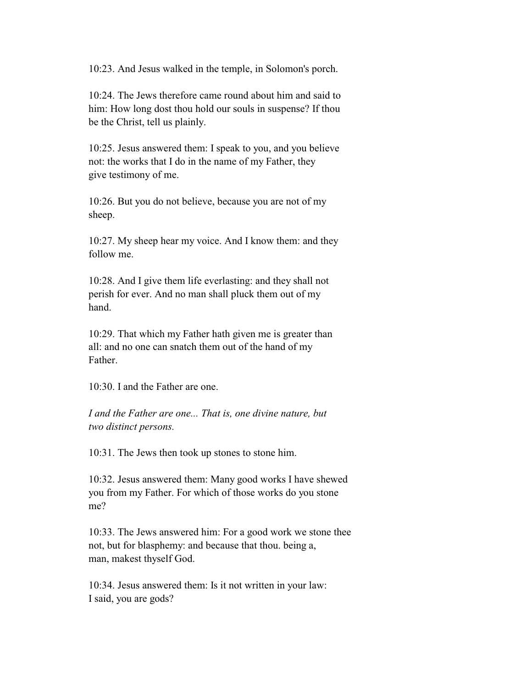10:23. And Jesus walked in the temple, in Solomon's porch.

 10:24. The Jews therefore came round about him and said to him: How long dost thou hold our souls in suspense? If thou be the Christ, tell us plainly.

 10:25. Jesus answered them: I speak to you, and you believe not: the works that I do in the name of my Father, they give testimony of me.

 10:26. But you do not believe, because you are not of my sheep.

 10:27. My sheep hear my voice. And I know them: and they follow me.

 10:28. And I give them life everlasting: and they shall not perish for ever. And no man shall pluck them out of my hand.

 10:29. That which my Father hath given me is greater than all: and no one can snatch them out of the hand of my Father.

10:30. I and the Father are one.

 *I and the Father are one... That is, one divine nature, but two distinct persons.*

10:31. The Jews then took up stones to stone him.

 10:32. Jesus answered them: Many good works I have shewed you from my Father. For which of those works do you stone me?

 10:33. The Jews answered him: For a good work we stone thee not, but for blasphemy: and because that thou. being a, man, makest thyself God.

 10:34. Jesus answered them: Is it not written in your law: I said, you are gods?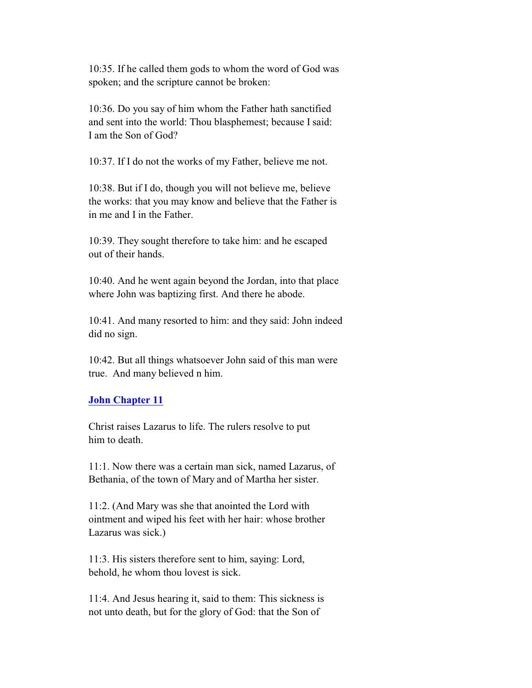10:35. If he called them gods to whom the word of God was spoken; and the scripture cannot be broken:

 10:36. Do you say of him whom the Father hath sanctified and sent into the world: Thou blasphemest; because I said: I am the Son of God?

10:37. If I do not the works of my Father, believe me not.

 10:38. But if I do, though you will not believe me, believe the works: that you may know and believe that the Father is in me and I in the Father.

 10:39. They sought therefore to take him: and he escaped out of their hands.

 10:40. And he went again beyond the Jordan, into that place where John was baptizing first. And there he abode.

 10:41. And many resorted to him: and they said: John indeed did no sign.

 10:42. But all things whatsoever John said of this man were true. And many believed n him.

# **John Chapter 11**

 Christ raises Lazarus to life. The rulers resolve to put him to death.

 11:1. Now there was a certain man sick, named Lazarus, of Bethania, of the town of Mary and of Martha her sister.

 11:2. (And Mary was she that anointed the Lord with ointment and wiped his feet with her hair: whose brother Lazarus was sick.)

 11:3. His sisters therefore sent to him, saying: Lord, behold, he whom thou lovest is sick.

 11:4. And Jesus hearing it, said to them: This sickness is not unto death, but for the glory of God: that the Son of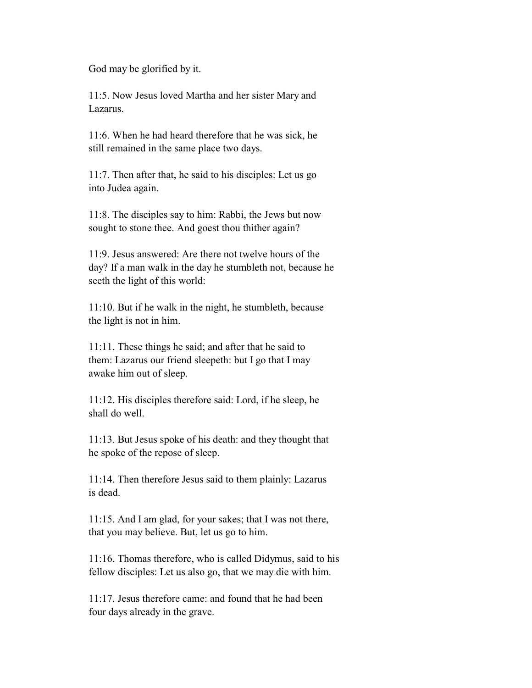God may be glorified by it.

 11:5. Now Jesus loved Martha and her sister Mary and Lazarus.

 11:6. When he had heard therefore that he was sick, he still remained in the same place two days.

 11:7. Then after that, he said to his disciples: Let us go into Judea again.

 11:8. The disciples say to him: Rabbi, the Jews but now sought to stone thee. And goest thou thither again?

 11:9. Jesus answered: Are there not twelve hours of the day? If a man walk in the day he stumbleth not, because he seeth the light of this world:

 11:10. But if he walk in the night, he stumbleth, because the light is not in him.

 11:11. These things he said; and after that he said to them: Lazarus our friend sleepeth: but I go that I may awake him out of sleep.

 11:12. His disciples therefore said: Lord, if he sleep, he shall do well.

 11:13. But Jesus spoke of his death: and they thought that he spoke of the repose of sleep.

 11:14. Then therefore Jesus said to them plainly: Lazarus is dead.

 11:15. And I am glad, for your sakes; that I was not there, that you may believe. But, let us go to him.

 11:16. Thomas therefore, who is called Didymus, said to his fellow disciples: Let us also go, that we may die with him.

 11:17. Jesus therefore came: and found that he had been four days already in the grave.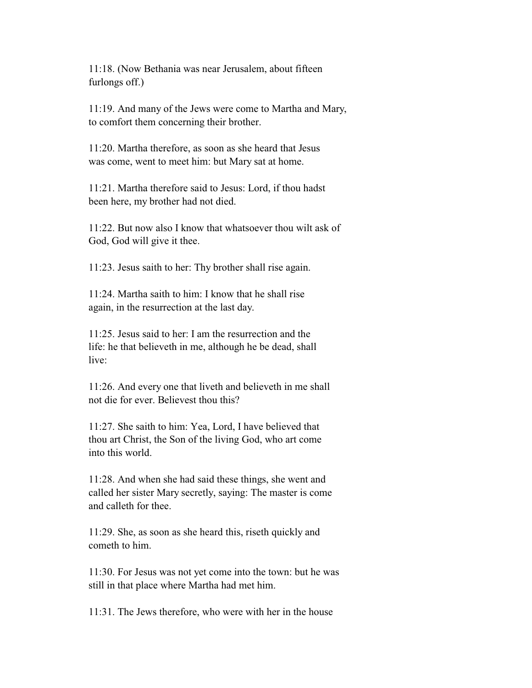11:18. (Now Bethania was near Jerusalem, about fifteen furlongs off.)

 11:19. And many of the Jews were come to Martha and Mary, to comfort them concerning their brother.

 11:20. Martha therefore, as soon as she heard that Jesus was come, went to meet him: but Mary sat at home.

 11:21. Martha therefore said to Jesus: Lord, if thou hadst been here, my brother had not died.

 11:22. But now also I know that whatsoever thou wilt ask of God, God will give it thee.

11:23. Jesus saith to her: Thy brother shall rise again.

 11:24. Martha saith to him: I know that he shall rise again, in the resurrection at the last day.

 $11:25$  Jesus said to her: I am the resurrection and the life: he that believeth in me, although he be dead, shall live:

 11:26. And every one that liveth and believeth in me shall not die for ever. Believest thou this?

 11:27. She saith to him: Yea, Lord, I have believed that thou art Christ, the Son of the living God, who art come into this world.

 11:28. And when she had said these things, she went and called her sister Mary secretly, saying: The master is come and calleth for thee.

 11:29. She, as soon as she heard this, riseth quickly and cometh to him.

 11:30. For Jesus was not yet come into the town: but he was still in that place where Martha had met him.

11:31. The Jews therefore, who were with her in the house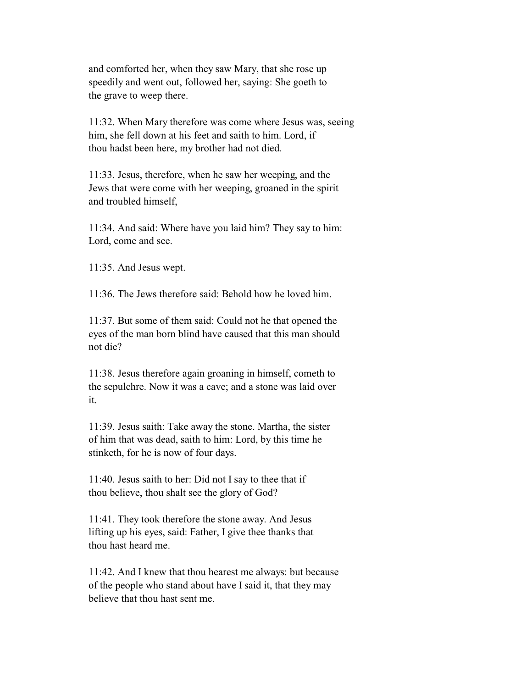and comforted her, when they saw Mary, that she rose up speedily and went out, followed her, saying: She goeth to the grave to weep there.

 11:32. When Mary therefore was come where Jesus was, seeing him, she fell down at his feet and saith to him. Lord, if thou hadst been here, my brother had not died.

 11:33. Jesus, therefore, when he saw her weeping, and the Jews that were come with her weeping, groaned in the spirit and troubled himself,

 11:34. And said: Where have you laid him? They say to him: Lord, come and see.

11:35. And Jesus wept.

 $11:36$ . The Jews therefore said: Behold how he loved him.

 11:37. But some of them said: Could not he that opened the eyes of the man born blind have caused that this man should not die?

 11:38. Jesus therefore again groaning in himself, cometh to the sepulchre. Now it was a cave; and a stone was laid over it.

 11:39. Jesus saith: Take away the stone. Martha, the sister of him that was dead, saith to him: Lord, by this time he stinketh, for he is now of four days.

 11:40. Jesus saith to her: Did not I say to thee that if thou believe, thou shalt see the glory of God?

 11:41. They took therefore the stone away. And Jesus lifting up his eyes, said: Father, I give thee thanks that thou hast heard me.

 11:42. And I knew that thou hearest me always: but because of the people who stand about have I said it, that they may believe that thou hast sent me.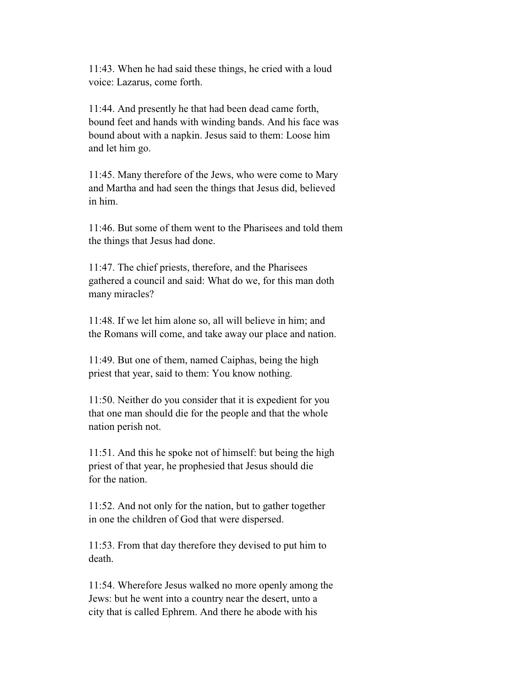11:43. When he had said these things, he cried with a loud voice: Lazarus, come forth.

 11:44. And presently he that had been dead came forth, bound feet and hands with winding bands. And his face was bound about with a napkin. Jesus said to them: Loose him and let him go.

 11:45. Many therefore of the Jews, who were come to Mary and Martha and had seen the things that Jesus did, believed in him.

 11:46. But some of them went to the Pharisees and told them the things that Jesus had done.

 11:47. The chief priests, therefore, and the Pharisees gathered a council and said: What do we, for this man doth many miracles?

 11:48. If we let him alone so, all will believe in him; and the Romans will come, and take away our place and nation.

 11:49. But one of them, named Caiphas, being the high priest that year, said to them: You know nothing.

 11:50. Neither do you consider that it is expedient for you that one man should die for the people and that the whole nation perish not.

 11:51. And this he spoke not of himself: but being the high priest of that year, he prophesied that Jesus should die for the nation.

 11:52. And not only for the nation, but to gather together in one the children of God that were dispersed.

 11:53. From that day therefore they devised to put him to death.

 11:54. Wherefore Jesus walked no more openly among the Jews: but he went into a country near the desert, unto a city that is called Ephrem. And there he abode with his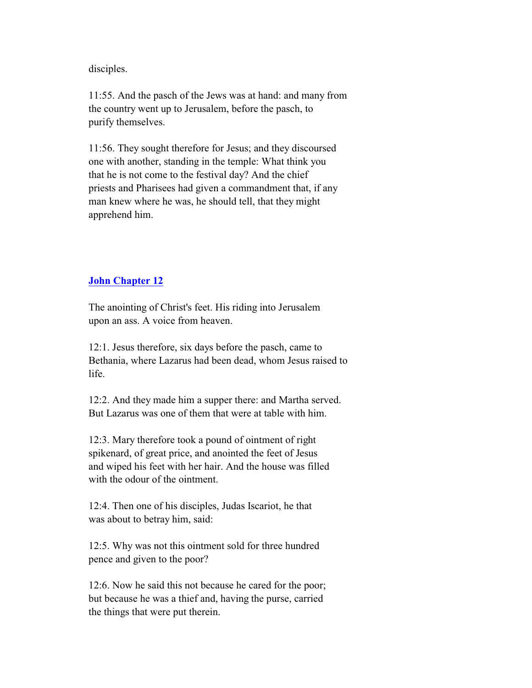disciples.

 11:55. And the pasch of the Jews was at hand: and many from the country went up to Jerusalem, before the pasch, to purify themselves.

 11:56. They sought therefore for Jesus; and they discoursed one with another, standing in the temple: What think you that he is not come to the festival day? And the chief priests and Pharisees had given a commandment that, if any man knew where he was, he should tell, that they might apprehend him.

# **John Chapter 12**

 The anointing of Christ's feet. His riding into Jerusalem upon an ass. A voice from heaven.

 12:1. Jesus therefore, six days before the pasch, came to Bethania, where Lazarus had been dead, whom Jesus raised to life.

 12:2. And they made him a supper there: and Martha served. But Lazarus was one of them that were at table with him.

 12:3. Mary therefore took a pound of ointment of right spikenard, of great price, and anointed the feet of Jesus and wiped his feet with her hair. And the house was filled with the odour of the ointment.

 12:4. Then one of his disciples, Judas Iscariot, he that was about to betray him, said:

 12:5. Why was not this ointment sold for three hundred pence and given to the poor?

 12:6. Now he said this not because he cared for the poor; but because he was a thief and, having the purse, carried the things that were put therein.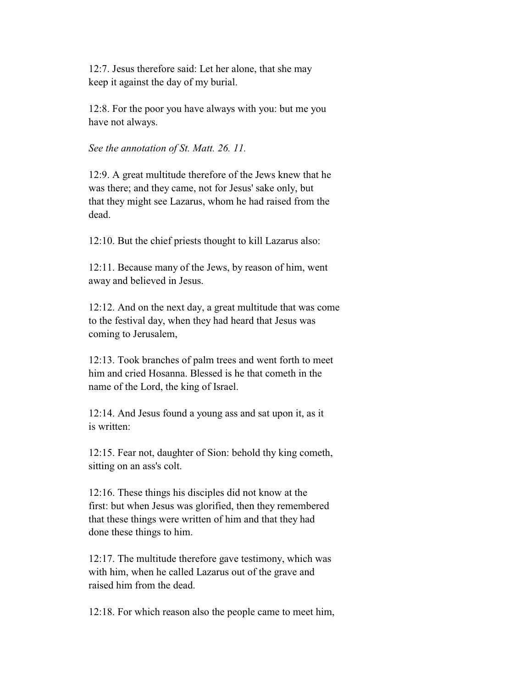12:7. Jesus therefore said: Let her alone, that she may keep it against the day of my burial.

 12:8. For the poor you have always with you: but me you have not always.

*See the annotation of St. Matt. 26. 11.*

 12:9. A great multitude therefore of the Jews knew that he was there; and they came, not for Jesus' sake only, but that they might see Lazarus, whom he had raised from the dead.

12:10. But the chief priests thought to kill Lazarus also:

 12:11. Because many of the Jews, by reason of him, went away and believed in Jesus.

 12:12. And on the next day, a great multitude that was come to the festival day, when they had heard that Jesus was coming to Jerusalem,

 12:13. Took branches of palm trees and went forth to meet him and cried Hosanna. Blessed is he that cometh in the name of the Lord, the king of Israel.

 12:14. And Jesus found a young ass and sat upon it, as it is written:

 12:15. Fear not, daughter of Sion: behold thy king cometh, sitting on an ass's colt.

 12:16. These things his disciples did not know at the first: but when Jesus was glorified, then they remembered that these things were written of him and that they had done these things to him.

 12:17. The multitude therefore gave testimony, which was with him, when he called Lazarus out of the grave and raised him from the dead.

12:18. For which reason also the people came to meet him,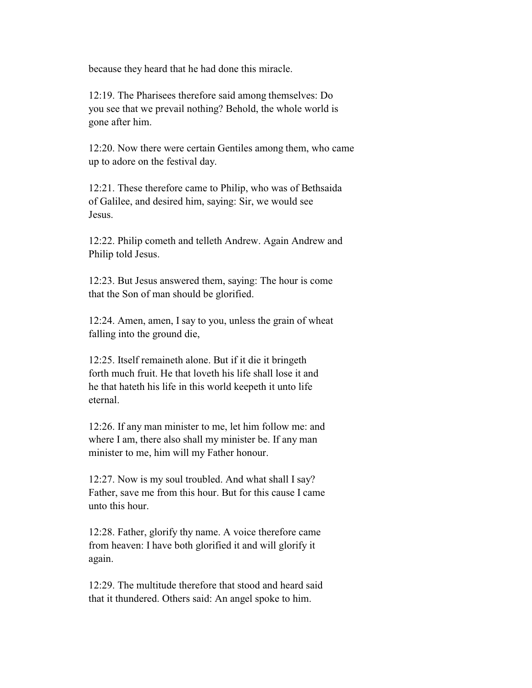because they heard that he had done this miracle.

 12:19. The Pharisees therefore said among themselves: Do you see that we prevail nothing? Behold, the whole world is gone after him.

 12:20. Now there were certain Gentiles among them, who came up to adore on the festival day.

 12:21. These therefore came to Philip, who was of Bethsaida of Galilee, and desired him, saying: Sir, we would see Jesus.

 12:22. Philip cometh and telleth Andrew. Again Andrew and Philip told Jesus.

 12:23. But Jesus answered them, saying: The hour is come that the Son of man should be glorified.

 12:24. Amen, amen, I say to you, unless the grain of wheat falling into the ground die,

 12:25. Itself remaineth alone. But if it die it bringeth forth much fruit. He that loveth his life shall lose it and he that hateth his life in this world keepeth it unto life eternal.

 12:26. If any man minister to me, let him follow me: and where I am, there also shall my minister be. If any man minister to me, him will my Father honour.

 12:27. Now is my soul troubled. And what shall I say? Father, save me from this hour. But for this cause I came unto this hour.

 12:28. Father, glorify thy name. A voice therefore came from heaven: I have both glorified it and will glorify it again.

 12:29. The multitude therefore that stood and heard said that it thundered. Others said: An angel spoke to him.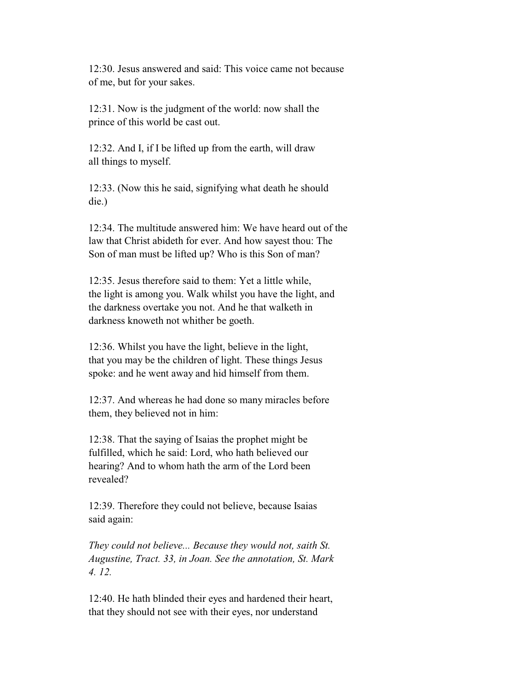12:30. Jesus answered and said: This voice came not because of me, but for your sakes.

 12:31. Now is the judgment of the world: now shall the prince of this world be cast out.

 12:32. And I, if I be lifted up from the earth, will draw all things to myself.

 12:33. (Now this he said, signifying what death he should die.)

 12:34. The multitude answered him: We have heard out of the law that Christ abideth for ever. And how sayest thou: The Son of man must be lifted up? Who is this Son of man?

 12:35. Jesus therefore said to them: Yet a little while, the light is among you. Walk whilst you have the light, and the darkness overtake you not. And he that walketh in darkness knoweth not whither be goeth.

 12:36. Whilst you have the light, believe in the light, that you may be the children of light. These things Jesus spoke: and he went away and hid himself from them.

 12:37. And whereas he had done so many miracles before them, they believed not in him:

 12:38. That the saying of Isaias the prophet might be fulfilled, which he said: Lord, who hath believed our hearing? And to whom hath the arm of the Lord been revealed?

 12:39. Therefore they could not believe, because Isaias said again:

 *They could not believe... Because they would not, saith St. Augustine, Tract. 33, in Joan. See the annotation, St. Mark 4. 12.*

 12:40. He hath blinded their eyes and hardened their heart, that they should not see with their eyes, nor understand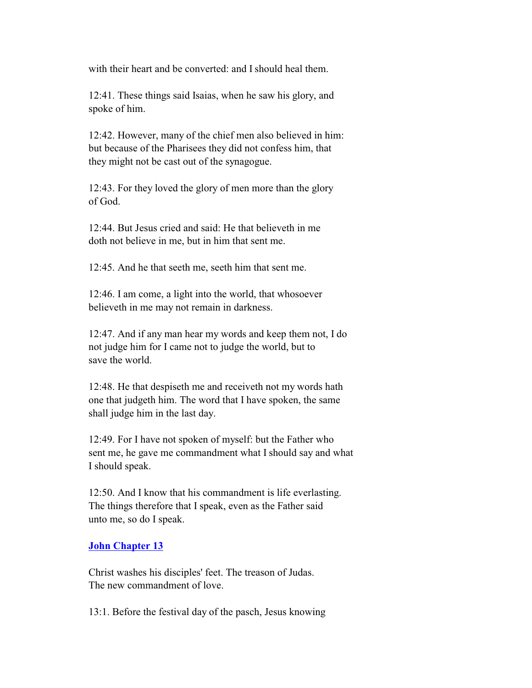with their heart and be converted: and I should heal them.

 12:41. These things said Isaias, when he saw his glory, and spoke of him.

 12:42. However, many of the chief men also believed in him: but because of the Pharisees they did not confess him, that they might not be cast out of the synagogue.

 12:43. For they loved the glory of men more than the glory of God.

 12:44. But Jesus cried and said: He that believeth in me doth not believe in me, but in him that sent me.

12:45. And he that seeth me, seeth him that sent me.

 12:46. I am come, a light into the world, that whosoever believeth in me may not remain in darkness.

 12:47. And if any man hear my words and keep them not, I do not judge him for I came not to judge the world, but to save the world.

 12:48. He that despiseth me and receiveth not my words hath one that judgeth him. The word that I have spoken, the same shall judge him in the last day.

 12:49. For I have not spoken of myself: but the Father who sent me, he gave me commandment what I should say and what I should speak.

 12:50. And I know that his commandment is life everlasting. The things therefore that I speak, even as the Father said unto me, so do I speak.

#### **John Chapter 13**

 Christ washes his disciples' feet. The treason of Judas. The new commandment of love.

13:1. Before the festival day of the pasch, Jesus knowing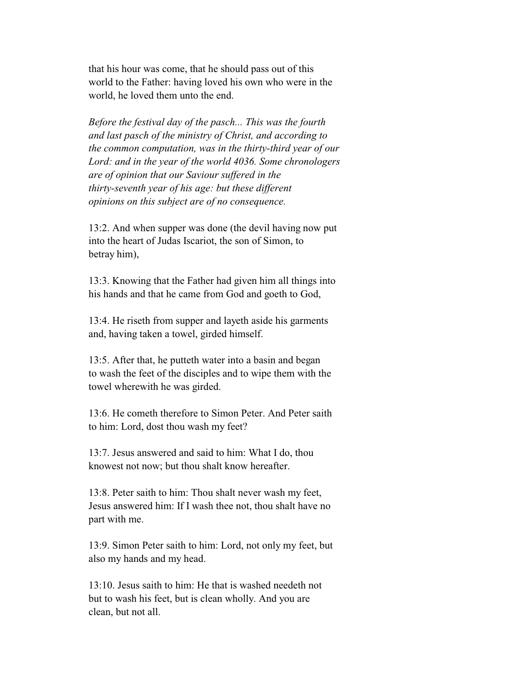that his hour was come, that he should pass out of this world to the Father: having loved his own who were in the world, he loved them unto the end.

 *Before the festival day of the pasch... This was the fourth and last pasch of the ministry of Christ, and according to the common computation, was in the thirty-third year of our Lord: and in the year of the world 4036. Some chronologers are of opinion that our Saviour suffered in the thirty-seventh year of his age: but these different opinions on this subject are of no consequence.*

 13:2. And when supper was done (the devil having now put into the heart of Judas Iscariot, the son of Simon, to betray him),

 13:3. Knowing that the Father had given him all things into his hands and that he came from God and goeth to God,

 13:4. He riseth from supper and layeth aside his garments and, having taken a towel, girded himself.

 13:5. After that, he putteth water into a basin and began to wash the feet of the disciples and to wipe them with the towel wherewith he was girded.

 13:6. He cometh therefore to Simon Peter. And Peter saith to him: Lord, dost thou wash my feet?

 13:7. Jesus answered and said to him: What I do, thou knowest not now; but thou shalt know hereafter.

 13:8. Peter saith to him: Thou shalt never wash my feet, Jesus answered him: If I wash thee not, thou shalt have no part with me.

 13:9. Simon Peter saith to him: Lord, not only my feet, but also my hands and my head.

 13:10. Jesus saith to him: He that is washed needeth not but to wash his feet, but is clean wholly. And you are clean, but not all.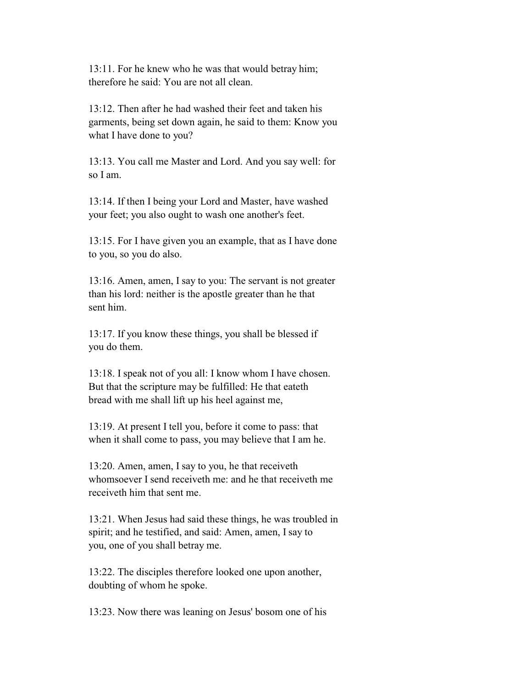13:11. For he knew who he was that would betray him; therefore he said: You are not all clean.

 13:12. Then after he had washed their feet and taken his garments, being set down again, he said to them: Know you what I have done to you?

 13:13. You call me Master and Lord. And you say well: for so I am.

 13:14. If then I being your Lord and Master, have washed your feet; you also ought to wash one another's feet.

 13:15. For I have given you an example, that as I have done to you, so you do also.

 13:16. Amen, amen, I say to you: The servant is not greater than his lord: neither is the apostle greater than he that sent him.

 13:17. If you know these things, you shall be blessed if you do them.

 13:18. I speak not of you all: I know whom I have chosen. But that the scripture may be fulfilled: He that eateth bread with me shall lift up his heel against me,

 13:19. At present I tell you, before it come to pass: that when it shall come to pass, you may believe that I am he.

 13:20. Amen, amen, I say to you, he that receiveth whomsoever I send receiveth me: and he that receiveth me receiveth him that sent me.

 13:21. When Jesus had said these things, he was troubled in spirit; and he testified, and said: Amen, amen, I say to you, one of you shall betray me.

 13:22. The disciples therefore looked one upon another, doubting of whom he spoke.

13:23. Now there was leaning on Jesus' bosom one of his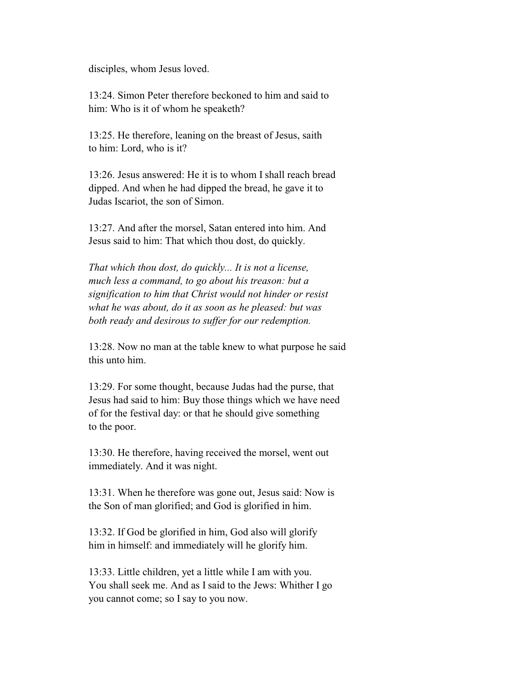disciples, whom Jesus loved.

 13:24. Simon Peter therefore beckoned to him and said to him: Who is it of whom he speaketh?

 13:25. He therefore, leaning on the breast of Jesus, saith to him: Lord, who is it?

 13:26. Jesus answered: He it is to whom I shall reach bread dipped. And when he had dipped the bread, he gave it to Judas Iscariot, the son of Simon.

 13:27. And after the morsel, Satan entered into him. And Jesus said to him: That which thou dost, do quickly.

 *That which thou dost, do quickly... It is not a license, much less a command, to go about his treason: but a signification to him that Christ would not hinder or resist what he was about, do it as soon as he pleased: but was both ready and desirous to suffer for our redemption.*

 13:28. Now no man at the table knew to what purpose he said this unto him.

 13:29. For some thought, because Judas had the purse, that Jesus had said to him: Buy those things which we have need of for the festival day: or that he should give something to the poor.

 13:30. He therefore, having received the morsel, went out immediately. And it was night.

 13:31. When he therefore was gone out, Jesus said: Now is the Son of man glorified; and God is glorified in him.

 13:32. If God be glorified in him, God also will glorify him in himself: and immediately will he glorify him.

 13:33. Little children, yet a little while I am with you. You shall seek me. And as I said to the Jews: Whither I go you cannot come; so I say to you now.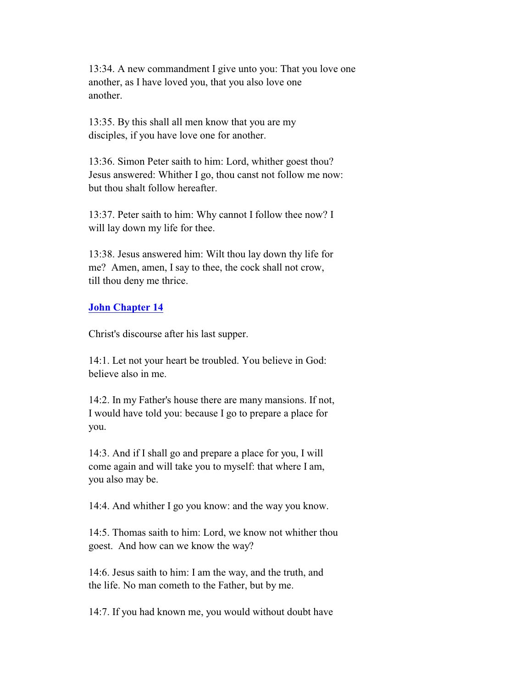13:34. A new commandment I give unto you: That you love one another, as I have loved you, that you also love one another.

 13:35. By this shall all men know that you are my disciples, if you have love one for another.

 13:36. Simon Peter saith to him: Lord, whither goest thou? Jesus answered: Whither I go, thou canst not follow me now: but thou shalt follow hereafter.

 13:37. Peter saith to him: Why cannot I follow thee now? I will lay down my life for thee.

 13:38. Jesus answered him: Wilt thou lay down thy life for me? Amen, amen, I say to thee, the cock shall not crow, till thou deny me thrice.

# **John Chapter 14**

Christ's discourse after his last supper.

 14:1. Let not your heart be troubled. You believe in God: believe also in me.

 14:2. In my Father's house there are many mansions. If not, I would have told you: because I go to prepare a place for you.

 14:3. And if I shall go and prepare a place for you, I will come again and will take you to myself: that where I am, you also may be.

14:4. And whither I go you know: and the way you know.

 14:5. Thomas saith to him: Lord, we know not whither thou goest. And how can we know the way?

 14:6. Jesus saith to him: I am the way, and the truth, and the life. No man cometh to the Father, but by me.

14:7. If you had known me, you would without doubt have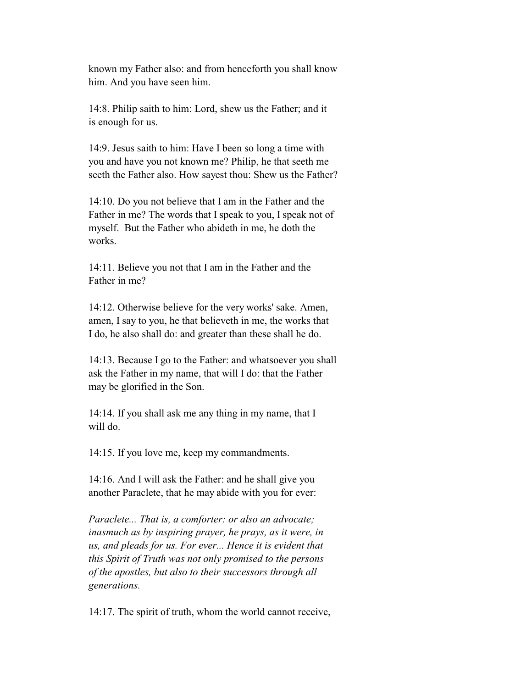known my Father also: and from henceforth you shall know him. And you have seen him.

 14:8. Philip saith to him: Lord, shew us the Father; and it is enough for us.

 14:9. Jesus saith to him: Have I been so long a time with you and have you not known me? Philip, he that seeth me seeth the Father also. How sayest thou: Shew us the Father?

 14:10. Do you not believe that I am in the Father and the Father in me? The words that I speak to you, I speak not of myself. But the Father who abideth in me, he doth the works.

 14:11. Believe you not that I am in the Father and the Father in me?

 14:12. Otherwise believe for the very works' sake. Amen, amen, I say to you, he that believeth in me, the works that I do, he also shall do: and greater than these shall he do.

 14:13. Because I go to the Father: and whatsoever you shall ask the Father in my name, that will I do: that the Father may be glorified in the Son.

 14:14. If you shall ask me any thing in my name, that I will do.

14:15. If you love me, keep my commandments.

 14:16. And I will ask the Father: and he shall give you another Paraclete, that he may abide with you for ever:

 *Paraclete... That is, a comforter: or also an advocate; inasmuch as by inspiring prayer, he prays, as it were, in us, and pleads for us. For ever... Hence it is evident that this Spirit of Truth was not only promised to the persons of the apostles, but also to their successors through all generations.*

14:17. The spirit of truth, whom the world cannot receive,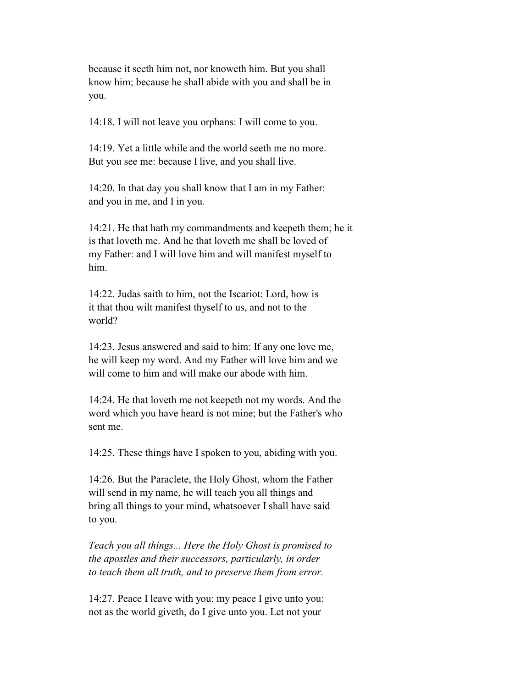because it seeth him not, nor knoweth him. But you shall know him; because he shall abide with you and shall be in you.

14:18. I will not leave you orphans: I will come to you.

 14:19. Yet a little while and the world seeth me no more. But you see me: because I live, and you shall live.

 14:20. In that day you shall know that I am in my Father: and you in me, and I in you.

 14:21. He that hath my commandments and keepeth them; he it is that loveth me. And he that loveth me shall be loved of my Father: and I will love him and will manifest myself to him.

 14:22. Judas saith to him, not the Iscariot: Lord, how is it that thou wilt manifest thyself to us, and not to the world?

 14:23. Jesus answered and said to him: If any one love me, he will keep my word. And my Father will love him and we will come to him and will make our abode with him.

 14:24. He that loveth me not keepeth not my words. And the word which you have heard is not mine; but the Father's who sent me.

14:25. These things have I spoken to you, abiding with you.

 14:26. But the Paraclete, the Holy Ghost, whom the Father will send in my name, he will teach you all things and bring all things to your mind, whatsoever I shall have said to you.

 *Teach you all things... Here the Holy Ghost is promised to the apostles and their successors, particularly, in order to teach them all truth, and to preserve them from error.*

 14:27. Peace I leave with you: my peace I give unto you: not as the world giveth, do I give unto you. Let not your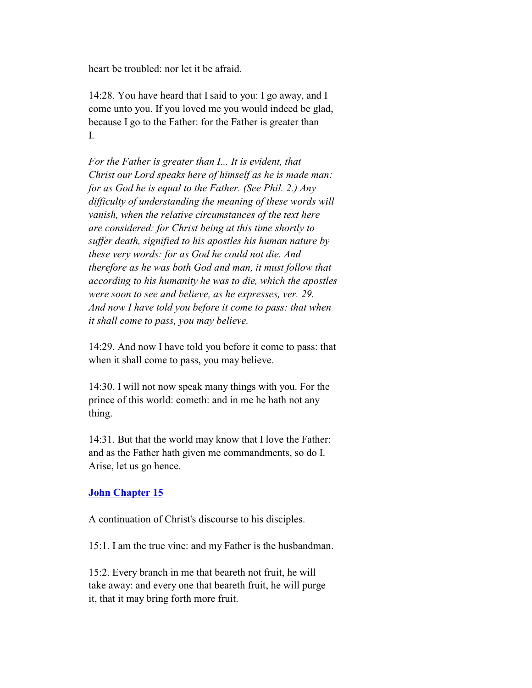heart be troubled: nor let it be afraid.

 14:28. You have heard that I said to you: I go away, and I come unto you. If you loved me you would indeed be glad, because I go to the Father: for the Father is greater than I.

 *For the Father is greater than I... It is evident, that Christ our Lord speaks here of himself as he is made man: for as God he is equal to the Father. (See Phil. 2.) Any difficulty of understanding the meaning of these words will vanish, when the relative circumstances of the text here are considered: for Christ being at this time shortly to suffer death, signified to his apostles his human nature by these very words: for as God he could not die. And therefore as he was both God and man, it must follow that according to his humanity he was to die, which the apostles were soon to see and believe, as he expresses, ver. 29. And now I have told you before it come to pass: that when it shall come to pass, you may believe.*

 14:29. And now I have told you before it come to pass: that when it shall come to pass, you may believe.

 14:30. I will not now speak many things with you. For the prince of this world: cometh: and in me he hath not any thing.

 14:31. But that the world may know that I love the Father: and as the Father hath given me commandments, so do I. Arise, let us go hence.

# **John Chapter 15**

A continuation of Christ's discourse to his disciples.

15:1. I am the true vine: and my Father is the husbandman.

 15:2. Every branch in me that beareth not fruit, he will take away: and every one that beareth fruit, he will purge it, that it may bring forth more fruit.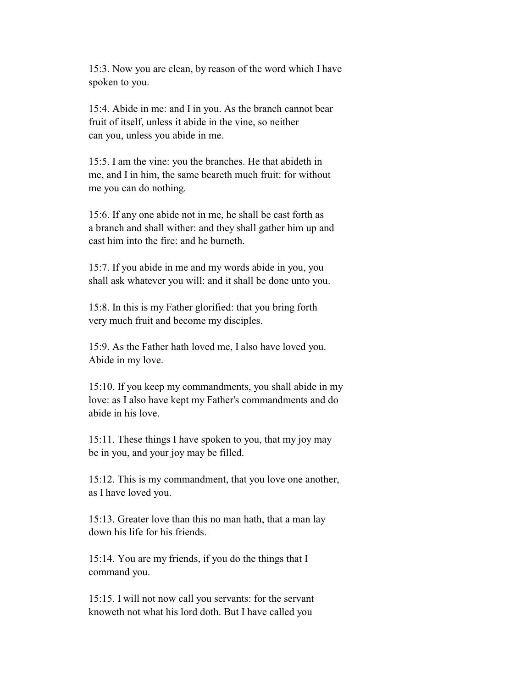15:3. Now you are clean, by reason of the word which I have spoken to you.

 15:4. Abide in me: and I in you. As the branch cannot bear fruit of itself, unless it abide in the vine, so neither can you, unless you abide in me.

 15:5. I am the vine: you the branches. He that abideth in me, and I in him, the same beareth much fruit: for without me you can do nothing.

 15:6. If any one abide not in me, he shall be cast forth as a branch and shall wither: and they shall gather him up and cast him into the fire: and he burneth.

 15:7. If you abide in me and my words abide in you, you shall ask whatever you will: and it shall be done unto you.

 15:8. In this is my Father glorified: that you bring forth very much fruit and become my disciples.

 15:9. As the Father hath loved me, I also have loved you. Abide in my love.

 15:10. If you keep my commandments, you shall abide in my love: as I also have kept my Father's commandments and do abide in his love.

 15:11. These things I have spoken to you, that my joy may be in you, and your joy may be filled.

 15:12. This is my commandment, that you love one another, as I have loved you.

 15:13. Greater love than this no man hath, that a man lay down his life for his friends.

 15:14. You are my friends, if you do the things that I command you.

 15:15. I will not now call you servants: for the servant knoweth not what his lord doth. But I have called you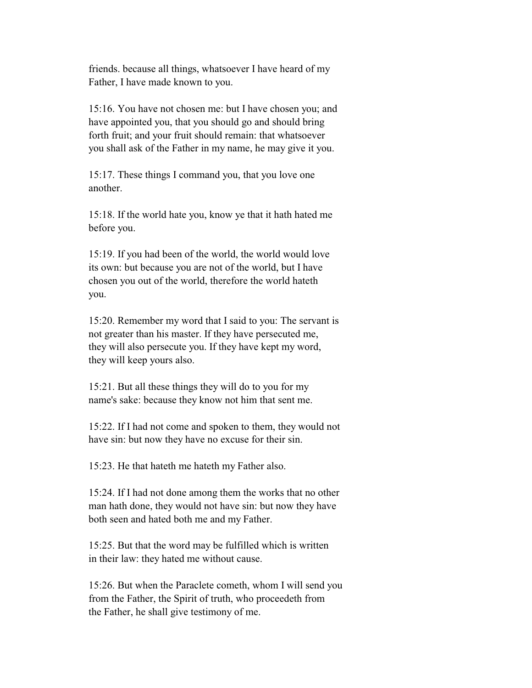friends. because all things, whatsoever I have heard of my Father, I have made known to you.

 15:16. You have not chosen me: but I have chosen you; and have appointed you, that you should go and should bring forth fruit; and your fruit should remain: that whatsoever you shall ask of the Father in my name, he may give it you.

 15:17. These things I command you, that you love one another.

 15:18. If the world hate you, know ye that it hath hated me before you.

 15:19. If you had been of the world, the world would love its own: but because you are not of the world, but I have chosen you out of the world, therefore the world hateth you.

 15:20. Remember my word that I said to you: The servant is not greater than his master. If they have persecuted me, they will also persecute you. If they have kept my word, they will keep yours also.

 15:21. But all these things they will do to you for my name's sake: because they know not him that sent me.

 15:22. If I had not come and spoken to them, they would not have sin: but now they have no excuse for their sin.

15:23. He that hateth me hateth my Father also.

 15:24. If I had not done among them the works that no other man hath done, they would not have sin: but now they have both seen and hated both me and my Father.

 15:25. But that the word may be fulfilled which is written in their law: they hated me without cause.

 15:26. But when the Paraclete cometh, whom I will send you from the Father, the Spirit of truth, who proceedeth from the Father, he shall give testimony of me.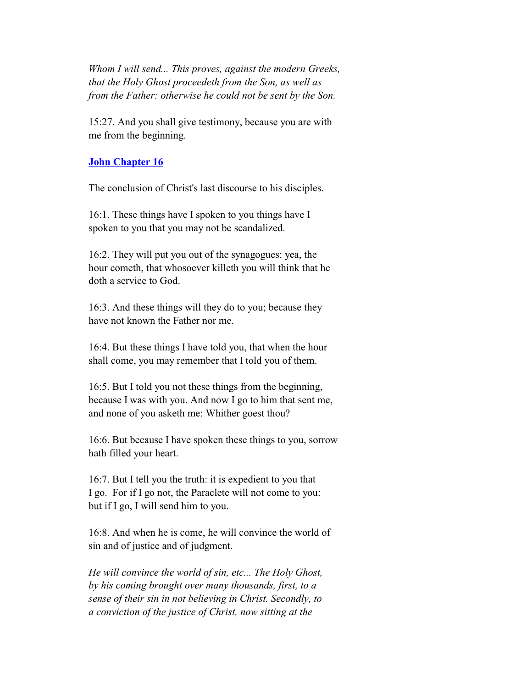*Whom I will send... This proves, against the modern Greeks, that the Holy Ghost proceedeth from the Son, as well as from the Father: otherwise he could not be sent by the Son.*

 15:27. And you shall give testimony, because you are with me from the beginning.

#### **John Chapter 16**

The conclusion of Christ's last discourse to his disciples.

 16:1. These things have I spoken to you things have I spoken to you that you may not be scandalized.

 16:2. They will put you out of the synagogues: yea, the hour cometh, that whosoever killeth you will think that he doth a service to God.

 16:3. And these things will they do to you; because they have not known the Father nor me.

 16:4. But these things I have told you, that when the hour shall come, you may remember that I told you of them.

 16:5. But I told you not these things from the beginning, because I was with you. And now I go to him that sent me, and none of you asketh me: Whither goest thou?

 16:6. But because I have spoken these things to you, sorrow hath filled your heart.

 16:7. But I tell you the truth: it is expedient to you that I go. For if I go not, the Paraclete will not come to you: but if I go, I will send him to you.

 16:8. And when he is come, he will convince the world of sin and of justice and of judgment.

 *He will convince the world of sin, etc... The Holy Ghost, by his coming brought over many thousands, first, to a sense of their sin in not believing in Christ. Secondly, to a conviction of the justice of Christ, now sitting at the*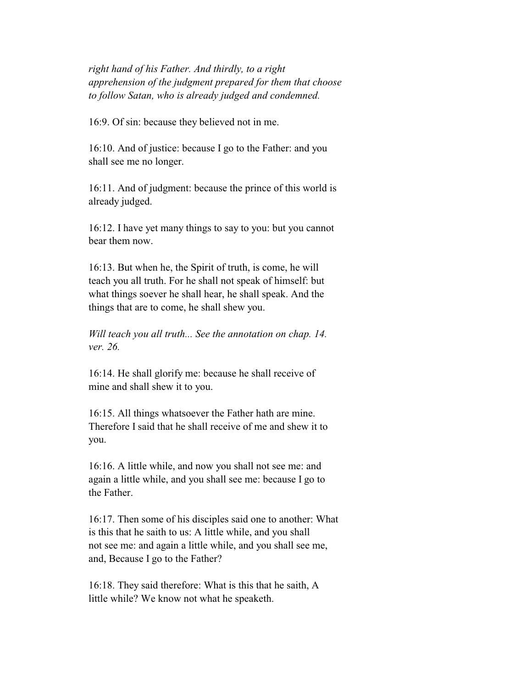*right hand of his Father. And thirdly, to a right apprehension of the judgment prepared for them that choose to follow Satan, who is already judged and condemned.*

16:9. Of sin: because they believed not in me.

 16:10. And of justice: because I go to the Father: and you shall see me no longer.

 16:11. And of judgment: because the prince of this world is already judged.

 16:12. I have yet many things to say to you: but you cannot bear them now.

 16:13. But when he, the Spirit of truth, is come, he will teach you all truth. For he shall not speak of himself: but what things soever he shall hear, he shall speak. And the things that are to come, he shall shew you.

 *Will teach you all truth... See the annotation on chap. 14. ver. 26.*

 16:14. He shall glorify me: because he shall receive of mine and shall shew it to you.

 16:15. All things whatsoever the Father hath are mine. Therefore I said that he shall receive of me and shew it to you.

 16:16. A little while, and now you shall not see me: and again a little while, and you shall see me: because I go to the Father.

 16:17. Then some of his disciples said one to another: What is this that he saith to us: A little while, and you shall not see me: and again a little while, and you shall see me, and, Because I go to the Father?

 16:18. They said therefore: What is this that he saith, A little while? We know not what he speaketh.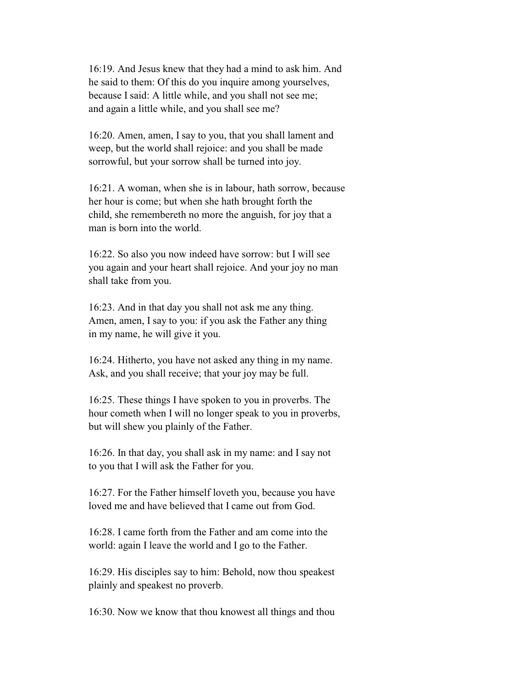16:19. And Jesus knew that they had a mind to ask him. And he said to them: Of this do you inquire among yourselves, because I said: A little while, and you shall not see me; and again a little while, and you shall see me?

 16:20. Amen, amen, I say to you, that you shall lament and weep, but the world shall rejoice: and you shall be made sorrowful, but your sorrow shall be turned into joy.

 16:21. A woman, when she is in labour, hath sorrow, because her hour is come; but when she hath brought forth the child, she remembereth no more the anguish, for joy that a man is born into the world.

 16:22. So also you now indeed have sorrow: but I will see you again and your heart shall rejoice. And your joy no man shall take from you.

 16:23. And in that day you shall not ask me any thing. Amen, amen, I say to you: if you ask the Father any thing in my name, he will give it you.

 16:24. Hitherto, you have not asked any thing in my name. Ask, and you shall receive; that your joy may be full.

 16:25. These things I have spoken to you in proverbs. The hour cometh when I will no longer speak to you in proverbs, but will shew you plainly of the Father.

 16:26. In that day, you shall ask in my name: and I say not to you that I will ask the Father for you.

 16:27. For the Father himself loveth you, because you have loved me and have believed that I came out from God.

 16:28. I came forth from the Father and am come into the world: again I leave the world and I go to the Father.

 16:29. His disciples say to him: Behold, now thou speakest plainly and speakest no proverb.

16:30. Now we know that thou knowest all things and thou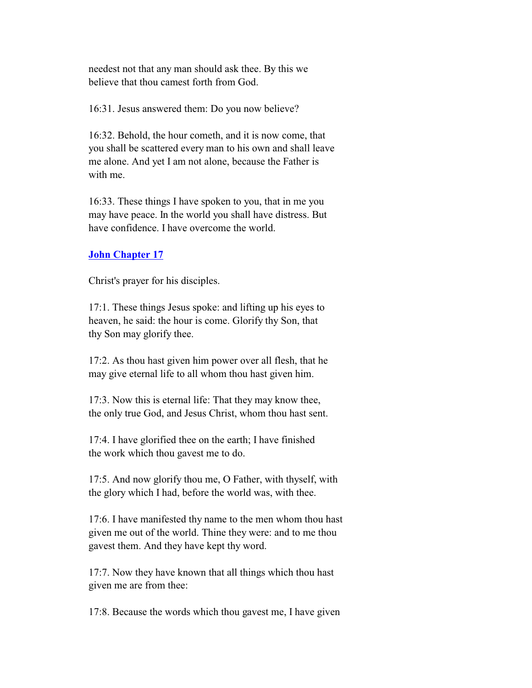needest not that any man should ask thee. By this we believe that thou camest forth from God.

16:31. Jesus answered them: Do you now believe?

 16:32. Behold, the hour cometh, and it is now come, that you shall be scattered every man to his own and shall leave me alone. And yet I am not alone, because the Father is with me.

 16:33. These things I have spoken to you, that in me you may have peace. In the world you shall have distress. But have confidence. I have overcome the world.

### **John Chapter 17**

Christ's prayer for his disciples.

 17:1. These things Jesus spoke: and lifting up his eyes to heaven, he said: the hour is come. Glorify thy Son, that thy Son may glorify thee.

 17:2. As thou hast given him power over all flesh, that he may give eternal life to all whom thou hast given him.

 17:3. Now this is eternal life: That they may know thee, the only true God, and Jesus Christ, whom thou hast sent.

 17:4. I have glorified thee on the earth; I have finished the work which thou gavest me to do.

 17:5. And now glorify thou me, O Father, with thyself, with the glory which I had, before the world was, with thee.

 17:6. I have manifested thy name to the men whom thou hast given me out of the world. Thine they were: and to me thou gavest them. And they have kept thy word.

 17:7. Now they have known that all things which thou hast given me are from thee:

17:8. Because the words which thou gavest me, I have given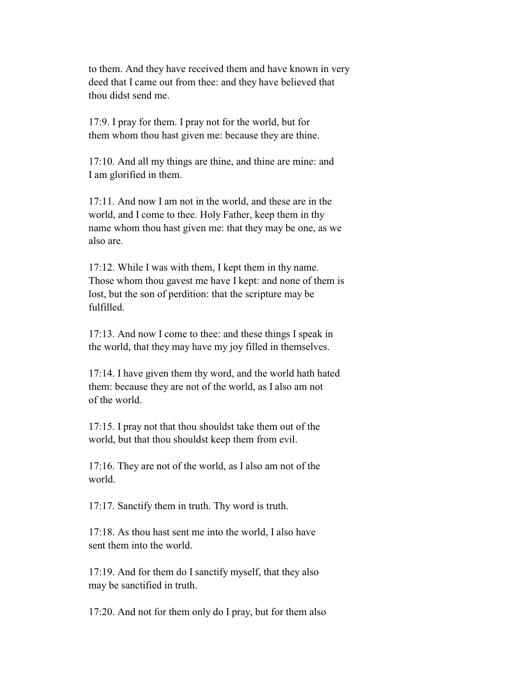to them. And they have received them and have known in very deed that I came out from thee: and they have believed that thou didst send me.

 17:9. I pray for them. I pray not for the world, but for them whom thou hast given me: because they are thine.

 17:10. And all my things are thine, and thine are mine: and I am glorified in them.

 17:11. And now I am not in the world, and these are in the world, and I come to thee. Holy Father, keep them in thy name whom thou hast given me: that they may be one, as we also are.

 17:12. While I was with them, I kept them in thy name. Those whom thou gavest me have I kept: and none of them is lost, but the son of perdition: that the scripture may be fulfilled.

 17:13. And now I come to thee: and these things I speak in the world, that they may have my joy filled in themselves.

 17:14. I have given them thy word, and the world hath hated them: because they are not of the world, as I also am not of the world.

 17:15. I pray not that thou shouldst take them out of the world, but that thou shouldst keep them from evil.

 17:16. They are not of the world, as I also am not of the world.

17:17. Sanctify them in truth. Thy word is truth.

 17:18. As thou hast sent me into the world, I also have sent them into the world.

 17:19. And for them do I sanctify myself, that they also may be sanctified in truth.

17:20. And not for them only do I pray, but for them also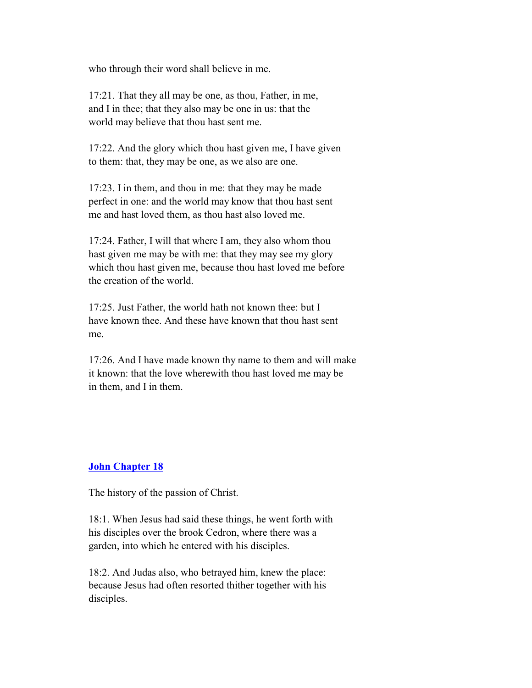who through their word shall believe in me.

 17:21. That they all may be one, as thou, Father, in me, and I in thee; that they also may be one in us: that the world may believe that thou hast sent me.

 17:22. And the glory which thou hast given me, I have given to them: that, they may be one, as we also are one.

 17:23. I in them, and thou in me: that they may be made perfect in one: and the world may know that thou hast sent me and hast loved them, as thou hast also loved me.

 17:24. Father, I will that where I am, they also whom thou hast given me may be with me: that they may see my glory which thou hast given me, because thou hast loved me before the creation of the world.

 17:25. Just Father, the world hath not known thee: but I have known thee. And these have known that thou hast sent me.

 17:26. And I have made known thy name to them and will make it known: that the love wherewith thou hast loved me may be in them, and I in them.

#### **John Chapter 18**

The history of the passion of Christ.

 18:1. When Jesus had said these things, he went forth with his disciples over the brook Cedron, where there was a garden, into which he entered with his disciples.

 18:2. And Judas also, who betrayed him, knew the place: because Jesus had often resorted thither together with his disciples.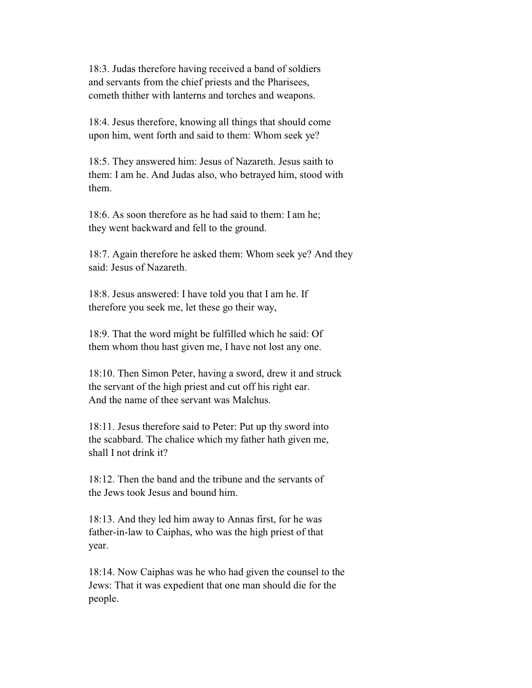18:3. Judas therefore having received a band of soldiers and servants from the chief priests and the Pharisees, cometh thither with lanterns and torches and weapons.

 18:4. Jesus therefore, knowing all things that should come upon him, went forth and said to them: Whom seek ye?

 18:5. They answered him: Jesus of Nazareth. Jesus saith to them: I am he. And Judas also, who betrayed him, stood with them.

 18:6. As soon therefore as he had said to them: I am he; they went backward and fell to the ground.

 18:7. Again therefore he asked them: Whom seek ye? And they said: Jesus of Nazareth.

 18:8. Jesus answered: I have told you that I am he. If therefore you seek me, let these go their way,

 18:9. That the word might be fulfilled which he said: Of them whom thou hast given me, I have not lost any one.

 18:10. Then Simon Peter, having a sword, drew it and struck the servant of the high priest and cut off his right ear. And the name of thee servant was Malchus.

 18:11. Jesus therefore said to Peter: Put up thy sword into the scabbard. The chalice which my father hath given me, shall I not drink it?

 18:12. Then the band and the tribune and the servants of the Jews took Jesus and bound him.

 18:13. And they led him away to Annas first, for he was father-in-law to Caiphas, who was the high priest of that year.

 18:14. Now Caiphas was he who had given the counsel to the Jews: That it was expedient that one man should die for the people.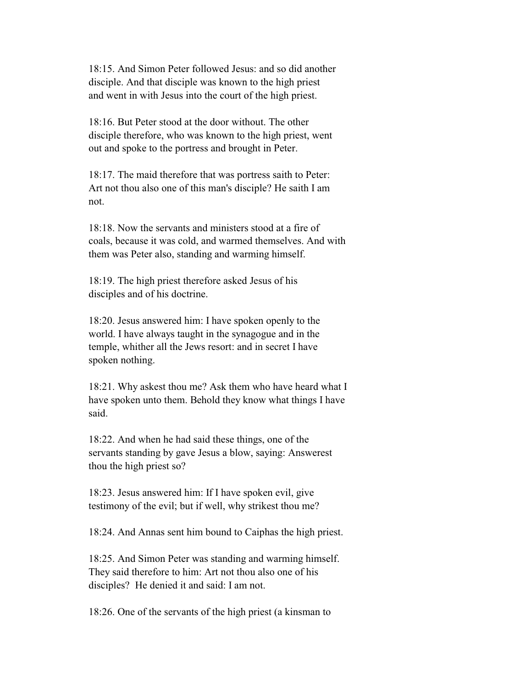18:15. And Simon Peter followed Jesus: and so did another disciple. And that disciple was known to the high priest and went in with Jesus into the court of the high priest.

 18:16. But Peter stood at the door without. The other disciple therefore, who was known to the high priest, went out and spoke to the portress and brought in Peter.

 18:17. The maid therefore that was portress saith to Peter: Art not thou also one of this man's disciple? He saith I am not.

 18:18. Now the servants and ministers stood at a fire of coals, because it was cold, and warmed themselves. And with them was Peter also, standing and warming himself.

 18:19. The high priest therefore asked Jesus of his disciples and of his doctrine.

 18:20. Jesus answered him: I have spoken openly to the world. I have always taught in the synagogue and in the temple, whither all the Jews resort: and in secret I have spoken nothing.

 18:21. Why askest thou me? Ask them who have heard what I have spoken unto them. Behold they know what things I have said.

 18:22. And when he had said these things, one of the servants standing by gave Jesus a blow, saying: Answerest thou the high priest so?

 18:23. Jesus answered him: If I have spoken evil, give testimony of the evil; but if well, why strikest thou me?

18:24. And Annas sent him bound to Caiphas the high priest.

 18:25. And Simon Peter was standing and warming himself. They said therefore to him: Art not thou also one of his disciples? He denied it and said: I am not.

18:26. One of the servants of the high priest (a kinsman to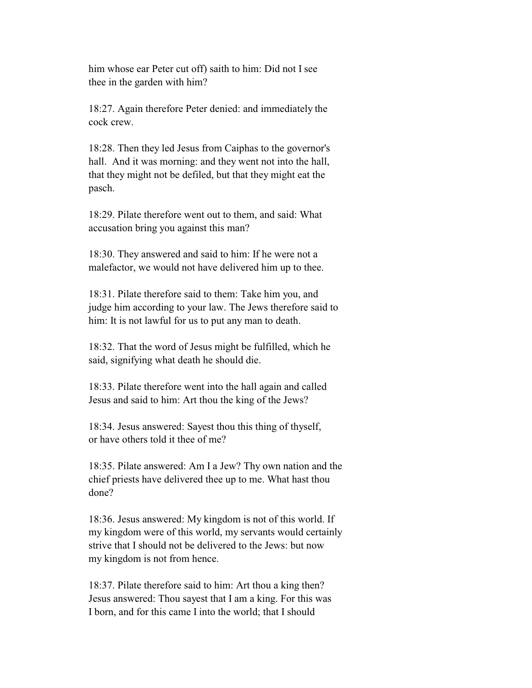him whose ear Peter cut off) saith to him: Did not I see thee in the garden with him?

 18:27. Again therefore Peter denied: and immediately the cock crew.

 18:28. Then they led Jesus from Caiphas to the governor's hall. And it was morning: and they went not into the hall, that they might not be defiled, but that they might eat the pasch.

 18:29. Pilate therefore went out to them, and said: What accusation bring you against this man?

 18:30. They answered and said to him: If he were not a malefactor, we would not have delivered him up to thee.

 18:31. Pilate therefore said to them: Take him you, and judge him according to your law. The Jews therefore said to him: It is not lawful for us to put any man to death.

 18:32. That the word of Jesus might be fulfilled, which he said, signifying what death he should die.

 18:33. Pilate therefore went into the hall again and called Jesus and said to him: Art thou the king of the Jews?

 18:34. Jesus answered: Sayest thou this thing of thyself, or have others told it thee of me?

 18:35. Pilate answered: Am I a Jew? Thy own nation and the chief priests have delivered thee up to me. What hast thou done?

 18:36. Jesus answered: My kingdom is not of this world. If my kingdom were of this world, my servants would certainly strive that I should not be delivered to the Jews: but now my kingdom is not from hence.

 18:37. Pilate therefore said to him: Art thou a king then? Jesus answered: Thou sayest that I am a king. For this was I born, and for this came I into the world; that I should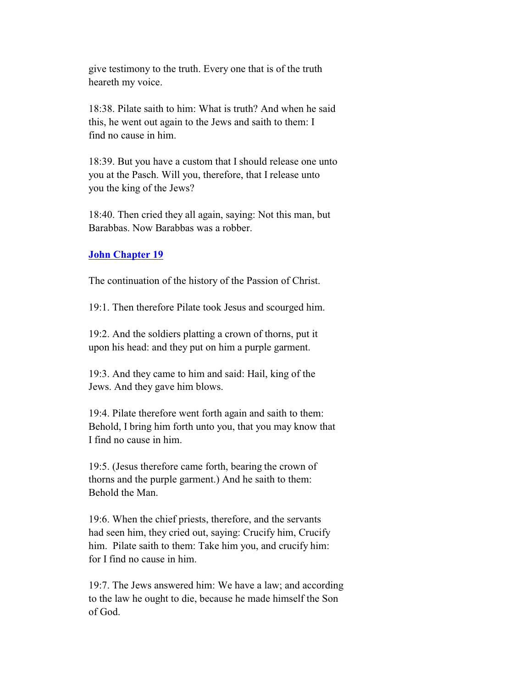give testimony to the truth. Every one that is of the truth heareth my voice.

 18:38. Pilate saith to him: What is truth? And when he said this, he went out again to the Jews and saith to them: I find no cause in him.

 18:39. But you have a custom that I should release one unto you at the Pasch. Will you, therefore, that I release unto you the king of the Jews?

 18:40. Then cried they all again, saying: Not this man, but Barabbas. Now Barabbas was a robber.

### **John Chapter 19**

The continuation of the history of the Passion of Christ.

19:1. Then therefore Pilate took Jesus and scourged him.

 19:2. And the soldiers platting a crown of thorns, put it upon his head: and they put on him a purple garment.

 19:3. And they came to him and said: Hail, king of the Jews. And they gave him blows.

 19:4. Pilate therefore went forth again and saith to them: Behold, I bring him forth unto you, that you may know that I find no cause in him.

 19:5. (Jesus therefore came forth, bearing the crown of thorns and the purple garment.) And he saith to them: Behold the Man.

 19:6. When the chief priests, therefore, and the servants had seen him, they cried out, saying: Crucify him, Crucify him. Pilate saith to them: Take him you, and crucify him: for I find no cause in him.

 19:7. The Jews answered him: We have a law; and according to the law he ought to die, because he made himself the Son of God.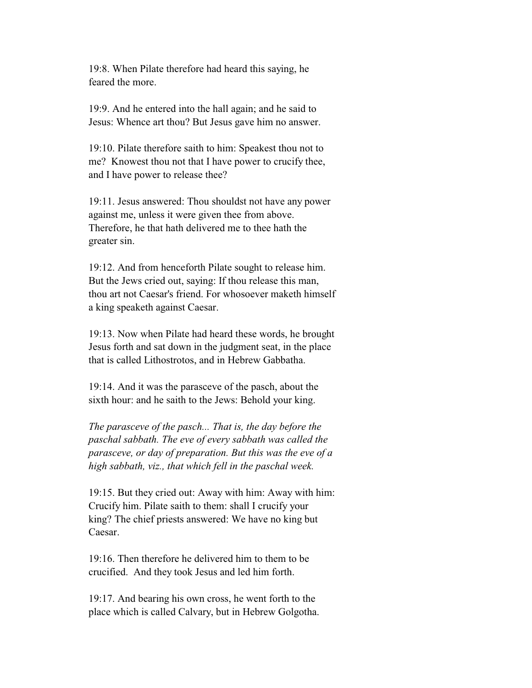19:8. When Pilate therefore had heard this saying, he feared the more.

 19:9. And he entered into the hall again; and he said to Jesus: Whence art thou? But Jesus gave him no answer.

 19:10. Pilate therefore saith to him: Speakest thou not to me? Knowest thou not that I have power to crucify thee, and I have power to release thee?

 19:11. Jesus answered: Thou shouldst not have any power against me, unless it were given thee from above. Therefore, he that hath delivered me to thee hath the greater sin.

 19:12. And from henceforth Pilate sought to release him. But the Jews cried out, saying: If thou release this man, thou art not Caesar's friend. For whosoever maketh himself a king speaketh against Caesar.

 19:13. Now when Pilate had heard these words, he brought Jesus forth and sat down in the judgment seat, in the place that is called Lithostrotos, and in Hebrew Gabbatha.

 19:14. And it was the parasceve of the pasch, about the sixth hour: and he saith to the Jews: Behold your king.

 *The parasceve of the pasch... That is, the day before the paschal sabbath. The eve of every sabbath was called the parasceve, or day of preparation. But this was the eve of a high sabbath, viz., that which fell in the paschal week.*

 19:15. But they cried out: Away with him: Away with him: Crucify him. Pilate saith to them: shall I crucify your king? The chief priests answered: We have no king but Caesar.

 19:16. Then therefore he delivered him to them to be crucified. And they took Jesus and led him forth.

 19:17. And bearing his own cross, he went forth to the place which is called Calvary, but in Hebrew Golgotha.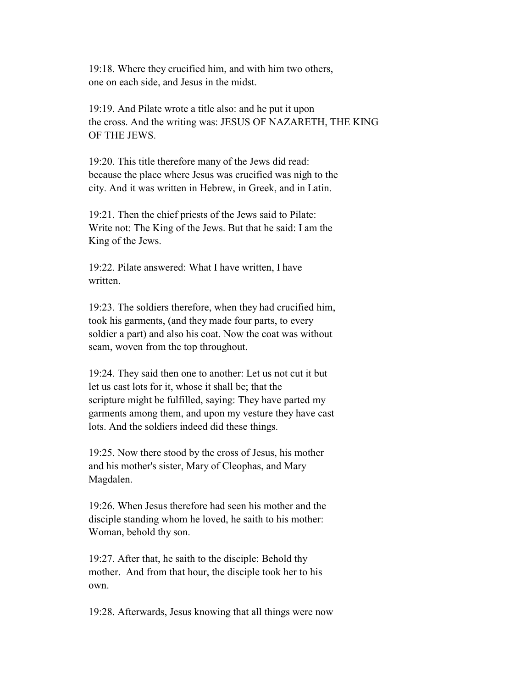19:18. Where they crucified him, and with him two others, one on each side, and Jesus in the midst.

 19:19. And Pilate wrote a title also: and he put it upon the cross. And the writing was: JESUS OF NAZARETH, THE KING OF THE JEWS.

 19:20. This title therefore many of the Jews did read: because the place where Jesus was crucified was nigh to the city. And it was written in Hebrew, in Greek, and in Latin.

 19:21. Then the chief priests of the Jews said to Pilate: Write not: The King of the Jews. But that he said: I am the King of the Jews.

 19:22. Pilate answered: What I have written, I have written.

 19:23. The soldiers therefore, when they had crucified him, took his garments, (and they made four parts, to every soldier a part) and also his coat. Now the coat was without seam, woven from the top throughout.

 19:24. They said then one to another: Let us not cut it but let us cast lots for it, whose it shall be; that the scripture might be fulfilled, saying: They have parted my garments among them, and upon my vesture they have cast lots. And the soldiers indeed did these things.

 19:25. Now there stood by the cross of Jesus, his mother and his mother's sister, Mary of Cleophas, and Mary Magdalen.

 19:26. When Jesus therefore had seen his mother and the disciple standing whom he loved, he saith to his mother: Woman, behold thy son.

 19:27. After that, he saith to the disciple: Behold thy mother. And from that hour, the disciple took her to his own.

19:28. Afterwards, Jesus knowing that all things were now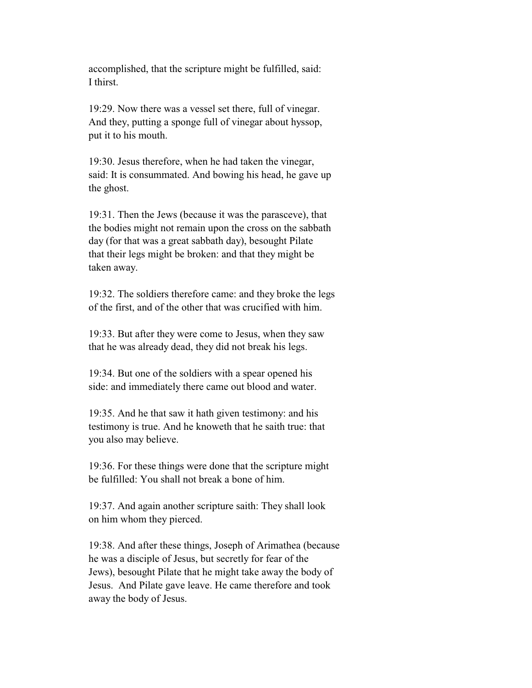accomplished, that the scripture might be fulfilled, said: I thirst.

 19:29. Now there was a vessel set there, full of vinegar. And they, putting a sponge full of vinegar about hyssop, put it to his mouth.

 19:30. Jesus therefore, when he had taken the vinegar, said: It is consummated. And bowing his head, he gave up the ghost.

 19:31. Then the Jews (because it was the parasceve), that the bodies might not remain upon the cross on the sabbath day (for that was a great sabbath day), besought Pilate that their legs might be broken: and that they might be taken away.

 19:32. The soldiers therefore came: and they broke the legs of the first, and of the other that was crucified with him.

 19:33. But after they were come to Jesus, when they saw that he was already dead, they did not break his legs.

 19:34. But one of the soldiers with a spear opened his side: and immediately there came out blood and water.

 19:35. And he that saw it hath given testimony: and his testimony is true. And he knoweth that he saith true: that you also may believe.

 19:36. For these things were done that the scripture might be fulfilled: You shall not break a bone of him.

 19:37. And again another scripture saith: They shall look on him whom they pierced.

 19:38. And after these things, Joseph of Arimathea (because he was a disciple of Jesus, but secretly for fear of the Jews), besought Pilate that he might take away the body of Jesus. And Pilate gave leave. He came therefore and took away the body of Jesus.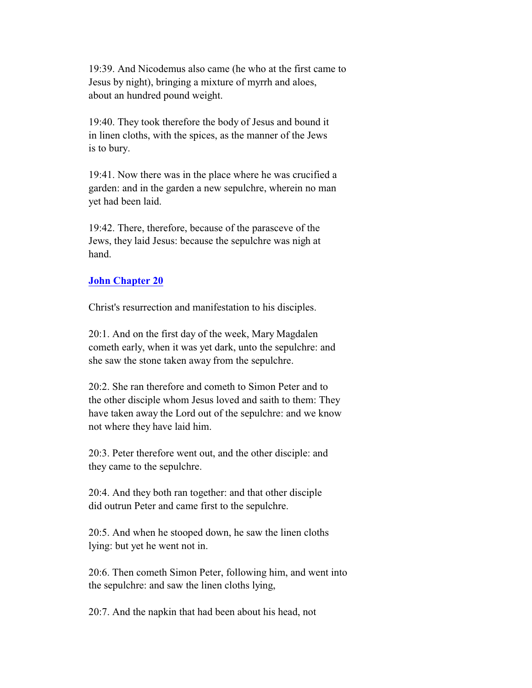19:39. And Nicodemus also came (he who at the first came to Jesus by night), bringing a mixture of myrrh and aloes, about an hundred pound weight.

 19:40. They took therefore the body of Jesus and bound it in linen cloths, with the spices, as the manner of the Jews is to bury.

 19:41. Now there was in the place where he was crucified a garden: and in the garden a new sepulchre, wherein no man yet had been laid.

 19:42. There, therefore, because of the parasceve of the Jews, they laid Jesus: because the sepulchre was nigh at hand.

## **John Chapter 20**

Christ's resurrection and manifestation to his disciples.

 20:1. And on the first day of the week, Mary Magdalen cometh early, when it was yet dark, unto the sepulchre: and she saw the stone taken away from the sepulchre.

 20:2. She ran therefore and cometh to Simon Peter and to the other disciple whom Jesus loved and saith to them: They have taken away the Lord out of the sepulchre: and we know not where they have laid him.

 20:3. Peter therefore went out, and the other disciple: and they came to the sepulchre.

 20:4. And they both ran together: and that other disciple did outrun Peter and came first to the sepulchre.

 20:5. And when he stooped down, he saw the linen cloths lying: but yet he went not in.

 20:6. Then cometh Simon Peter, following him, and went into the sepulchre: and saw the linen cloths lying,

20:7. And the napkin that had been about his head, not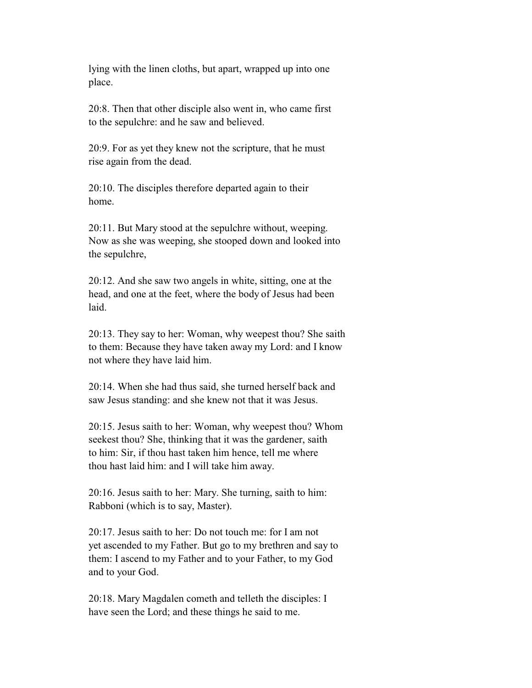lying with the linen cloths, but apart, wrapped up into one place.

 20:8. Then that other disciple also went in, who came first to the sepulchre: and he saw and believed.

 20:9. For as yet they knew not the scripture, that he must rise again from the dead.

 20:10. The disciples therefore departed again to their home.

 20:11. But Mary stood at the sepulchre without, weeping. Now as she was weeping, she stooped down and looked into the sepulchre,

 20:12. And she saw two angels in white, sitting, one at the head, and one at the feet, where the body of Jesus had been laid.

 20:13. They say to her: Woman, why weepest thou? She saith to them: Because they have taken away my Lord: and I know not where they have laid him.

 20:14. When she had thus said, she turned herself back and saw Jesus standing: and she knew not that it was Jesus.

 20:15. Jesus saith to her: Woman, why weepest thou? Whom seekest thou? She, thinking that it was the gardener, saith to him: Sir, if thou hast taken him hence, tell me where thou hast laid him: and I will take him away.

 20:16. Jesus saith to her: Mary. She turning, saith to him: Rabboni (which is to say, Master).

 20:17. Jesus saith to her: Do not touch me: for I am not yet ascended to my Father. But go to my brethren and say to them: I ascend to my Father and to your Father, to my God and to your God.

 20:18. Mary Magdalen cometh and telleth the disciples: I have seen the Lord; and these things he said to me.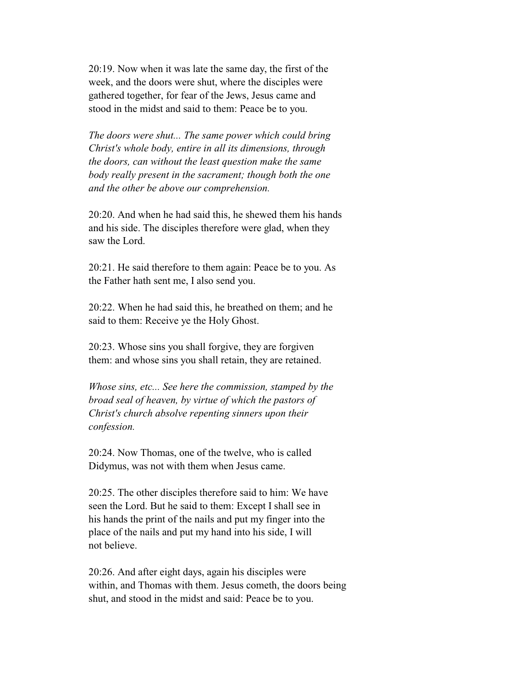20:19. Now when it was late the same day, the first of the week, and the doors were shut, where the disciples were gathered together, for fear of the Jews, Jesus came and stood in the midst and said to them: Peace be to you.

 *The doors were shut... The same power which could bring Christ's whole body, entire in all its dimensions, through the doors, can without the least question make the same body really present in the sacrament; though both the one and the other be above our comprehension.*

 20:20. And when he had said this, he shewed them his hands and his side. The disciples therefore were glad, when they saw the Lord.

 20:21. He said therefore to them again: Peace be to you. As the Father hath sent me, I also send you.

 20:22. When he had said this, he breathed on them; and he said to them: Receive ye the Holy Ghost.

 20:23. Whose sins you shall forgive, they are forgiven them: and whose sins you shall retain, they are retained.

 *Whose sins, etc... See here the commission, stamped by the broad seal of heaven, by virtue of which the pastors of Christ's church absolve repenting sinners upon their confession.*

 20:24. Now Thomas, one of the twelve, who is called Didymus, was not with them when Jesus came.

 20:25. The other disciples therefore said to him: We have seen the Lord. But he said to them: Except I shall see in his hands the print of the nails and put my finger into the place of the nails and put my hand into his side, I will not believe.

 20:26. And after eight days, again his disciples were within, and Thomas with them. Jesus cometh, the doors being shut, and stood in the midst and said: Peace be to you.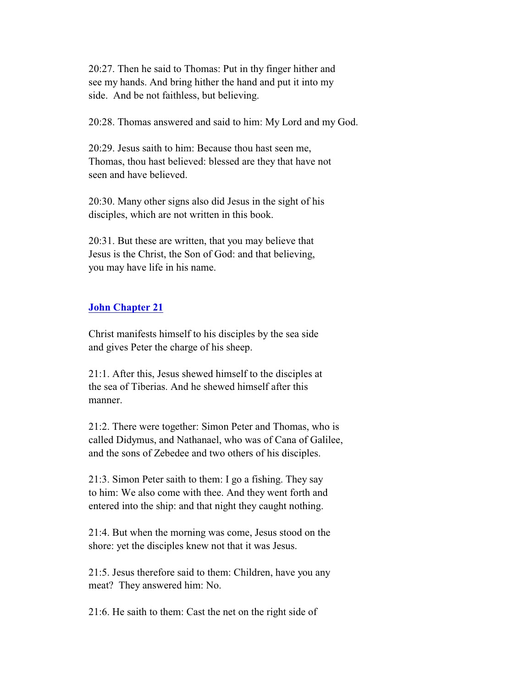20:27. Then he said to Thomas: Put in thy finger hither and see my hands. And bring hither the hand and put it into my side. And be not faithless, but believing.

20:28. Thomas answered and said to him: My Lord and my God.

 20:29. Jesus saith to him: Because thou hast seen me, Thomas, thou hast believed: blessed are they that have not seen and have believed.

 20:30. Many other signs also did Jesus in the sight of his disciples, which are not written in this book.

 20:31. But these are written, that you may believe that Jesus is the Christ, the Son of God: and that believing, you may have life in his name.

## **John Chapter 21**

 Christ manifests himself to his disciples by the sea side and gives Peter the charge of his sheep.

 21:1. After this, Jesus shewed himself to the disciples at the sea of Tiberias. And he shewed himself after this manner.

 21:2. There were together: Simon Peter and Thomas, who is called Didymus, and Nathanael, who was of Cana of Galilee, and the sons of Zebedee and two others of his disciples.

 21:3. Simon Peter saith to them: I go a fishing. They say to him: We also come with thee. And they went forth and entered into the ship: and that night they caught nothing.

 21:4. But when the morning was come, Jesus stood on the shore: yet the disciples knew not that it was Jesus.

 21:5. Jesus therefore said to them: Children, have you any meat? They answered him: No.

21:6. He saith to them: Cast the net on the right side of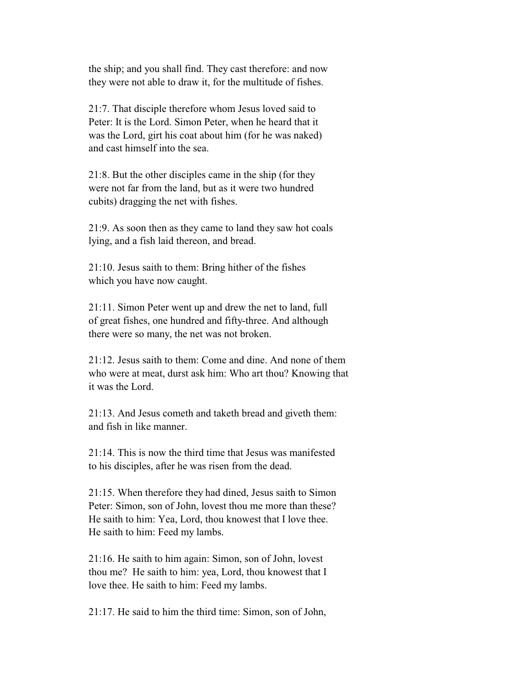the ship; and you shall find. They cast therefore: and now they were not able to draw it, for the multitude of fishes.

 21:7. That disciple therefore whom Jesus loved said to Peter: It is the Lord. Simon Peter, when he heard that it was the Lord, girt his coat about him (for he was naked) and cast himself into the sea.

 21:8. But the other disciples came in the ship (for they were not far from the land, but as it were two hundred cubits) dragging the net with fishes.

 21:9. As soon then as they came to land they saw hot coals lying, and a fish laid thereon, and bread.

 21:10. Jesus saith to them: Bring hither of the fishes which you have now caught.

 21:11. Simon Peter went up and drew the net to land, full of great fishes, one hundred and fifty-three. And although there were so many, the net was not broken.

 21:12. Jesus saith to them: Come and dine. And none of them who were at meat, durst ask him: Who art thou? Knowing that it was the Lord.

 21:13. And Jesus cometh and taketh bread and giveth them: and fish in like manner.

 21:14. This is now the third time that Jesus was manifested to his disciples, after he was risen from the dead.

 21:15. When therefore they had dined, Jesus saith to Simon Peter: Simon, son of John, lovest thou me more than these? He saith to him: Yea, Lord, thou knowest that I love thee. He saith to him: Feed my lambs.

 21:16. He saith to him again: Simon, son of John, lovest thou me? He saith to him: yea, Lord, thou knowest that I love thee. He saith to him: Feed my lambs.

21:17. He said to him the third time: Simon, son of John,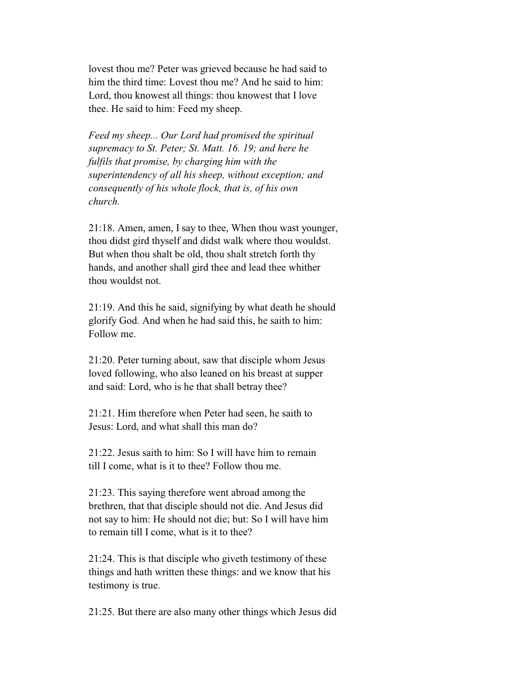lovest thou me? Peter was grieved because he had said to him the third time: Lovest thou me? And he said to him: Lord, thou knowest all things: thou knowest that I love thee. He said to him: Feed my sheep.

 *Feed my sheep... Our Lord had promised the spiritual supremacy to St. Peter; St. Matt. 16. 19; and here he fulfils that promise, by charging him with the superintendency of all his sheep, without exception; and consequently of his whole flock, that is, of his own church.*

 21:18. Amen, amen, I say to thee, When thou wast younger, thou didst gird thyself and didst walk where thou wouldst. But when thou shalt be old, thou shalt stretch forth thy hands, and another shall gird thee and lead thee whither thou wouldst not.

 21:19. And this he said, signifying by what death he should glorify God. And when he had said this, he saith to him: Follow me.

 21:20. Peter turning about, saw that disciple whom Jesus loved following, who also leaned on his breast at supper and said: Lord, who is he that shall betray thee?

 21:21. Him therefore when Peter had seen, he saith to Jesus: Lord, and what shall this man do?

 21:22. Jesus saith to him: So I will have him to remain till I come, what is it to thee? Follow thou me.

 21:23. This saying therefore went abroad among the brethren, that that disciple should not die. And Jesus did not say to him: He should not die; but: So I will have him to remain till I come, what is it to thee?

 21:24. This is that disciple who giveth testimony of these things and hath written these things: and we know that his testimony is true.

21:25. But there are also many other things which Jesus did